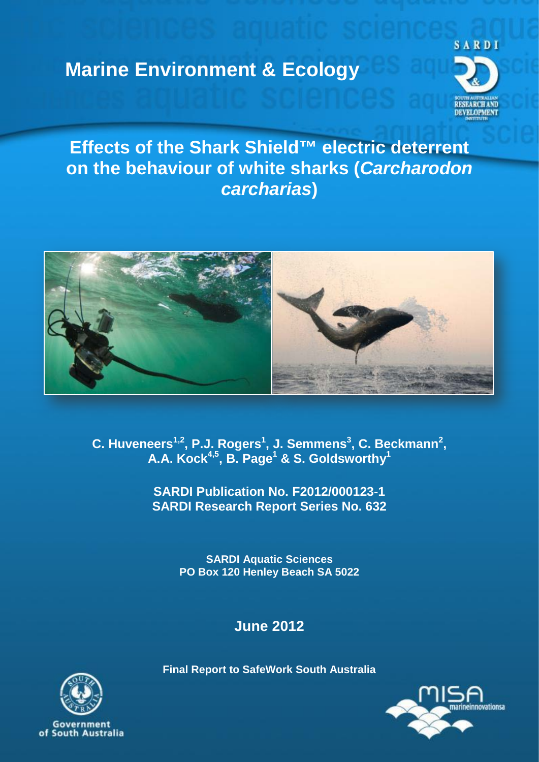# **Marine Environment & Ecology**



**Effects of the Shark Shield™ electric deterrent on the behaviour of white sharks (***Carcharodon carcharias***)**



**C. Huveneers1,2, P.J. Rogers1 , J. Semmens3 , C. Beckmann2 , A.A. Kock4,5, B. Page1 & S. Goldsworthy1**

> **SARDI Publication No. F2012/000123-1 SARDI Research Report Series No. 632**

> > **SARDI Aquatic Sciences PO Box 120 Henley Beach SA 5022**

> > > **June 2012**

**Final Report to SafeWork South Australia**





Government of South Australia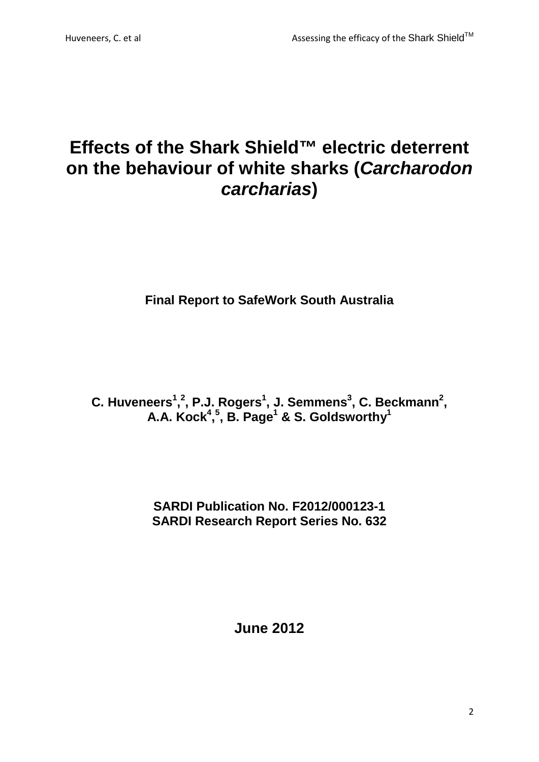# **Effects of the Shark Shield™ electric deterrent on the behaviour of white sharks (***Carcharodon carcharias***)**

**Final Report to SafeWork South Australia**

**C.** Huveneers<sup>1</sup>,<sup>2</sup>, P.J. Rogers<sup>1</sup>, J. Semmens<sup>3</sup>, C. Beckmann<sup>2</sup>, **A.A. Kock4 , 5 , B. Page1 & S. Goldsworthy1**

> **SARDI Publication No. F2012/000123-1 SARDI Research Report Series No. 632**

> > **June 2012**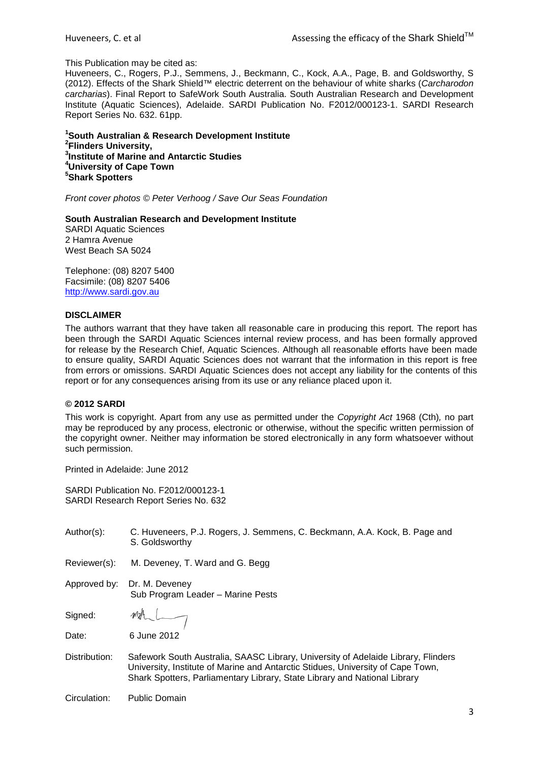#### This Publication may be cited as:

Huveneers, C., Rogers, P.J., Semmens, J., Beckmann, C., Kock, A.A., Page, B. and Goldsworthy, S (2012). Effects of the Shark Shield™ electric deterrent on the behaviour of white sharks (*Carcharodon carcharias*). Final Report to SafeWork South Australia. South Australian Research and Development Institute (Aquatic Sciences), Adelaide. SARDI Publication No. F2012/000123-1. SARDI Research Report Series No. 632. 61pp.

 **South Australian & Research Development Institute Flinders University, Institute of Marine and Antarctic Studies University of Cape Town Shark Spotters**

*Front cover photos © Peter Verhoog / Save Our Seas Foundation*

#### **South Australian Research and Development Institute**

SARDI Aquatic Sciences 2 Hamra Avenue West Beach SA 5024

Telephone: (08) 8207 5400 Facsimile: (08) 8207 5406 [http://www.sardi.gov.au](http://www.sardi.gov.au/)

#### **DISCLAIMER**

The authors warrant that they have taken all reasonable care in producing this report. The report has been through the SARDI Aquatic Sciences internal review process, and has been formally approved for release by the Research Chief, Aquatic Sciences. Although all reasonable efforts have been made to ensure quality, SARDI Aquatic Sciences does not warrant that the information in this report is free from errors or omissions. SARDI Aquatic Sciences does not accept any liability for the contents of this report or for any consequences arising from its use or any reliance placed upon it.

#### **© 2012 SARDI**

This work is copyright. Apart from any use as permitted under the *Copyright Act* 1968 (Cth)*,* no part may be reproduced by any process, electronic or otherwise, without the specific written permission of the copyright owner. Neither may information be stored electronically in any form whatsoever without such permission.

Printed in Adelaide: June 2012

SARDI Publication No. F2012/000123-1 SARDI Research Report Series No. 632

| Author(s):    | C. Huveneers, P.J. Rogers, J. Semmens, C. Beckmann, A.A. Kock, B. Page and<br>S. Goldsworthy                                                                                                                                                      |
|---------------|---------------------------------------------------------------------------------------------------------------------------------------------------------------------------------------------------------------------------------------------------|
| Reviewer(s):  | M. Deveney, T. Ward and G. Begg                                                                                                                                                                                                                   |
| Approved by:  | Dr. M. Deveney<br>Sub Program Leader - Marine Pests                                                                                                                                                                                               |
| Signed:       | MhL                                                                                                                                                                                                                                               |
| Date:         | 6 June 2012                                                                                                                                                                                                                                       |
| Distribution: | Safework South Australia, SAASC Library, University of Adelaide Library, Flinders<br>University, Institute of Marine and Antarctic Stidues, University of Cape Town,<br>Shark Spotters, Parliamentary Library, State Library and National Library |
| Circulation:  | <b>Public Domain</b>                                                                                                                                                                                                                              |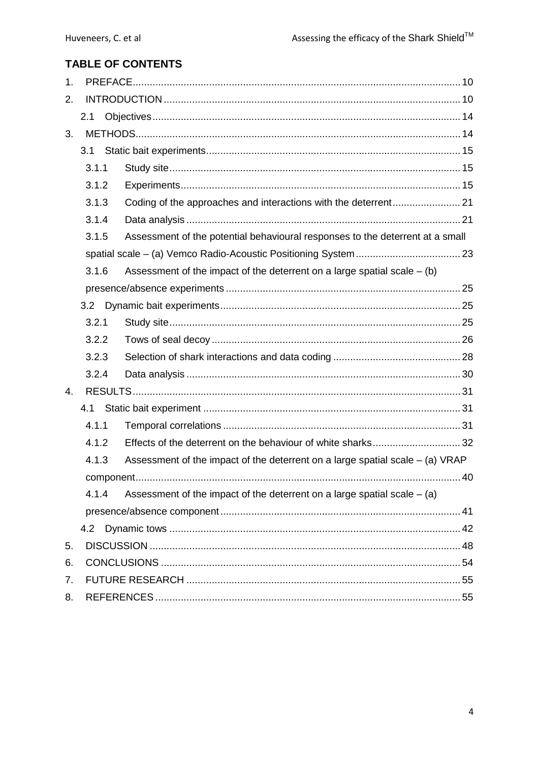# **TABLE OF CONTENTS**

| 1. |       |                                                                                 |  |
|----|-------|---------------------------------------------------------------------------------|--|
| 2. |       |                                                                                 |  |
|    | 2.1   |                                                                                 |  |
| 3. |       |                                                                                 |  |
|    | 3.1   |                                                                                 |  |
|    | 3.1.1 |                                                                                 |  |
|    | 3.1.2 |                                                                                 |  |
|    | 3.1.3 |                                                                                 |  |
|    | 3.1.4 |                                                                                 |  |
|    | 3.1.5 | Assessment of the potential behavioural responses to the deterrent at a small   |  |
|    |       |                                                                                 |  |
|    | 3.1.6 | Assessment of the impact of the deterrent on a large spatial scale $-$ (b)      |  |
|    |       |                                                                                 |  |
|    | 3.2   |                                                                                 |  |
|    | 3.2.1 |                                                                                 |  |
|    | 3.2.2 |                                                                                 |  |
|    | 3.2.3 |                                                                                 |  |
|    | 3.2.4 |                                                                                 |  |
| 4. |       |                                                                                 |  |
|    | 4.1   |                                                                                 |  |
|    | 4.1.1 |                                                                                 |  |
|    | 4.1.2 |                                                                                 |  |
|    | 4.1.3 | Assessment of the impact of the deterrent on a large spatial scale $-$ (a) VRAP |  |
|    |       |                                                                                 |  |
|    | 4.1.4 | Assessment of the impact of the deterrent on a large spatial scale $-$ (a)      |  |
|    |       |                                                                                 |  |
|    | 4.2   |                                                                                 |  |
| 5. |       |                                                                                 |  |
| 6. |       |                                                                                 |  |
| 7. |       |                                                                                 |  |
| 8. |       |                                                                                 |  |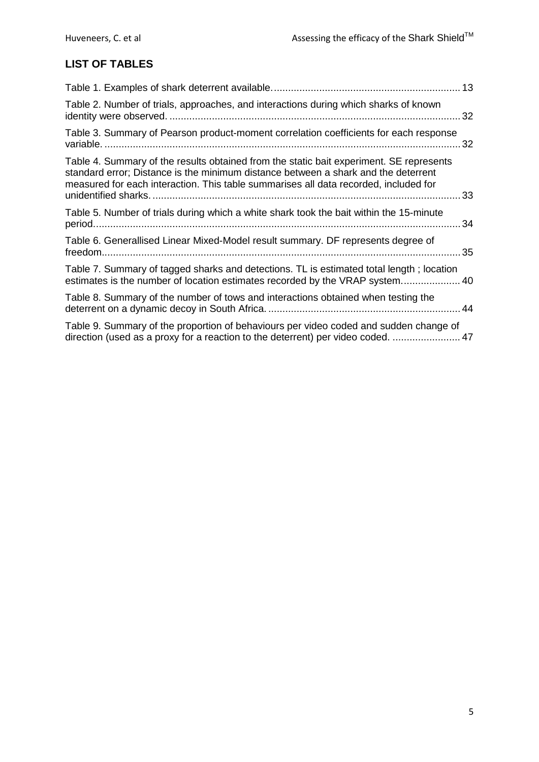# **LIST OF TABLES**

|                                                                                                                                                                                                                                                                       | 13 |
|-----------------------------------------------------------------------------------------------------------------------------------------------------------------------------------------------------------------------------------------------------------------------|----|
| Table 2. Number of trials, approaches, and interactions during which sharks of known                                                                                                                                                                                  | 32 |
| Table 3. Summary of Pearson product-moment correlation coefficients for each response                                                                                                                                                                                 | 32 |
| Table 4. Summary of the results obtained from the static bait experiment. SE represents<br>standard error; Distance is the minimum distance between a shark and the deterrent<br>measured for each interaction. This table summarises all data recorded, included for | 33 |
| Table 5. Number of trials during which a white shark took the bait within the 15-minute                                                                                                                                                                               |    |
| Table 6. Generallised Linear Mixed-Model result summary. DF represents degree of                                                                                                                                                                                      |    |
| Table 7. Summary of tagged sharks and detections. TL is estimated total length; location<br>estimates is the number of location estimates recorded by the VRAP system 40                                                                                              |    |
| Table 8. Summary of the number of tows and interactions obtained when testing the                                                                                                                                                                                     |    |
| Table 9. Summary of the proportion of behaviours per video coded and sudden change of<br>direction (used as a proxy for a reaction to the deterrent) per video coded.  47                                                                                             |    |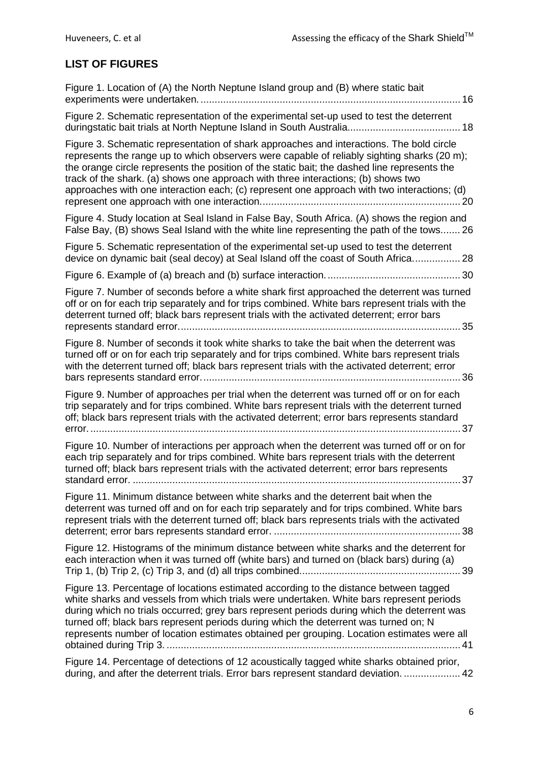# **LIST OF FIGURES**

| Figure 1. Location of (A) the North Neptune Island group and (B) where static bait                                                                                                                                                                                                                                                                                                                                                                                                 |
|------------------------------------------------------------------------------------------------------------------------------------------------------------------------------------------------------------------------------------------------------------------------------------------------------------------------------------------------------------------------------------------------------------------------------------------------------------------------------------|
| Figure 2. Schematic representation of the experimental set-up used to test the deterrent                                                                                                                                                                                                                                                                                                                                                                                           |
| Figure 3. Schematic representation of shark approaches and interactions. The bold circle<br>represents the range up to which observers were capable of reliably sighting sharks (20 m);<br>the orange circle represents the position of the static bait; the dashed line represents the<br>track of the shark. (a) shows one approach with three interactions; (b) shows two<br>approaches with one interaction each; (c) represent one approach with two interactions; (d)<br>-20 |
| Figure 4. Study location at Seal Island in False Bay, South Africa. (A) shows the region and<br>False Bay, (B) shows Seal Island with the white line representing the path of the tows 26                                                                                                                                                                                                                                                                                          |
| Figure 5. Schematic representation of the experimental set-up used to test the deterrent<br>device on dynamic bait (seal decoy) at Seal Island off the coast of South Africa 28                                                                                                                                                                                                                                                                                                    |
|                                                                                                                                                                                                                                                                                                                                                                                                                                                                                    |
| Figure 7. Number of seconds before a white shark first approached the deterrent was turned<br>off or on for each trip separately and for trips combined. White bars represent trials with the<br>deterrent turned off; black bars represent trials with the activated deterrent; error bars                                                                                                                                                                                        |
| Figure 8. Number of seconds it took white sharks to take the bait when the deterrent was<br>turned off or on for each trip separately and for trips combined. White bars represent trials<br>with the deterrent turned off; black bars represent trials with the activated deterrent; error                                                                                                                                                                                        |
| Figure 9. Number of approaches per trial when the deterrent was turned off or on for each<br>trip separately and for trips combined. White bars represent trials with the deterrent turned<br>off; black bars represent trials with the activated deterrent; error bars represents standard<br>37                                                                                                                                                                                  |
| Figure 10. Number of interactions per approach when the deterrent was turned off or on for<br>each trip separately and for trips combined. White bars represent trials with the deterrent<br>turned off; black bars represent trials with the activated deterrent; error bars represents                                                                                                                                                                                           |
| Figure 11. Minimum distance between white sharks and the deterrent bait when the<br>deterrent was turned off and on for each trip separately and for trips combined. White bars<br>represent trials with the deterrent turned off; black bars represents trials with the activated                                                                                                                                                                                                 |
| Figure 12. Histograms of the minimum distance between white sharks and the deterrent for<br>each interaction when it was turned off (white bars) and turned on (black bars) during (a)                                                                                                                                                                                                                                                                                             |
| Figure 13. Percentage of locations estimated according to the distance between tagged<br>white sharks and vessels from which trials were undertaken. White bars represent periods<br>during which no trials occurred; grey bars represent periods during which the deterrent was<br>turned off; black bars represent periods during which the deterrent was turned on; N<br>represents number of location estimates obtained per grouping. Location estimates were all             |
| Figure 14. Percentage of detections of 12 acoustically tagged white sharks obtained prior,<br>during, and after the deterrent trials. Error bars represent standard deviation.  42                                                                                                                                                                                                                                                                                                 |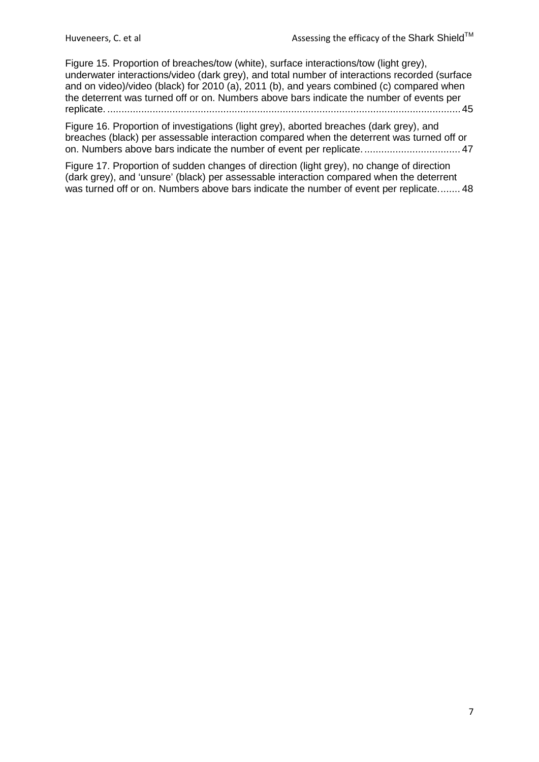[Figure 15. Proportion of breaches/tow \(white\), surface interactions/tow \(light grey\),](#page-44-0)  [underwater interactions/video \(dark grey\), and total number of interactions recorded \(surface](#page-44-0)  [and on video\)/video \(black\) for 2010 \(a\), 2011 \(b\), and years combined \(c\) compared when](#page-44-0)  [the deterrent was turned off or on. Numbers above bars indicate the number of events per](#page-44-0)  replicate. [.............................................................................................................................](#page-44-0) 45

[Figure 16. Proportion of investigations \(light grey\), aborted breaches \(dark grey\), and](#page-46-1)  [breaches \(black\) per assessable interaction compared when the deterrent was turned off or](#page-46-1)  [on. Numbers above bars indicate the number of event per replicate...................................](#page-46-1) 47

[Figure 17. Proportion of sudden changes of direction \(light grey\), no change of direction](#page-47-1)  [\(dark grey\), and 'unsure' \(black\) per assessable interaction compared when the deterrent](#page-47-1)  [was turned off or on. Numbers above bars indicate the number of event per replicate........](#page-47-1) 48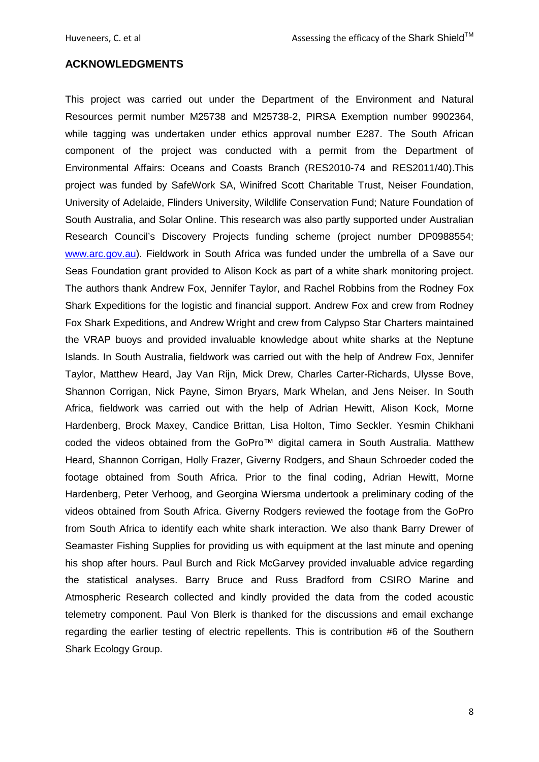## **ACKNOWLEDGMENTS**

This project was carried out under the Department of the Environment and Natural Resources permit number M25738 and M25738-2, PIRSA Exemption number 9902364, while tagging was undertaken under ethics approval number E287. The South African component of the project was conducted with a permit from the Department of Environmental Affairs: Oceans and Coasts Branch (RES2010-74 and RES2011/40).This project was funded by SafeWork SA, Winifred Scott Charitable Trust, Neiser Foundation, University of Adelaide, Flinders University, Wildlife Conservation Fund; Nature Foundation of South Australia, and Solar Online. This research was also partly supported under Australian Research Council's Discovery Projects funding scheme (project number DP0988554; [www.arc.gov.au\)](http://www.arc.gov.au/). Fieldwork in South Africa was funded under the umbrella of a Save our Seas Foundation grant provided to Alison Kock as part of a white shark monitoring project. The authors thank Andrew Fox, Jennifer Taylor, and Rachel Robbins from the Rodney Fox Shark Expeditions for the logistic and financial support. Andrew Fox and crew from Rodney Fox Shark Expeditions, and Andrew Wright and crew from Calypso Star Charters maintained the VRAP buoys and provided invaluable knowledge about white sharks at the Neptune Islands. In South Australia, fieldwork was carried out with the help of Andrew Fox, Jennifer Taylor, Matthew Heard, Jay Van Rijn, Mick Drew, Charles Carter-Richards, Ulysse Bove, Shannon Corrigan, Nick Payne, Simon Bryars, Mark Whelan, and Jens Neiser. In South Africa, fieldwork was carried out with the help of Adrian Hewitt, Alison Kock, Morne Hardenberg, Brock Maxey, Candice Brittan, Lisa Holton, Timo Seckler. Yesmin Chikhani coded the videos obtained from the GoPro™ digital camera in South Australia. Matthew Heard, Shannon Corrigan, Holly Frazer, Giverny Rodgers, and Shaun Schroeder coded the footage obtained from South Africa. Prior to the final coding, Adrian Hewitt, Morne Hardenberg, Peter Verhoog, and Georgina Wiersma undertook a preliminary coding of the videos obtained from South Africa. Giverny Rodgers reviewed the footage from the GoPro from South Africa to identify each white shark interaction. We also thank Barry Drewer of Seamaster Fishing Supplies for providing us with equipment at the last minute and opening his shop after hours. Paul Burch and Rick McGarvey provided invaluable advice regarding the statistical analyses. Barry Bruce and Russ Bradford from CSIRO Marine and Atmospheric Research collected and kindly provided the data from the coded acoustic telemetry component. Paul Von Blerk is thanked for the discussions and email exchange regarding the earlier testing of electric repellents. This is contribution #6 of the Southern Shark Ecology Group.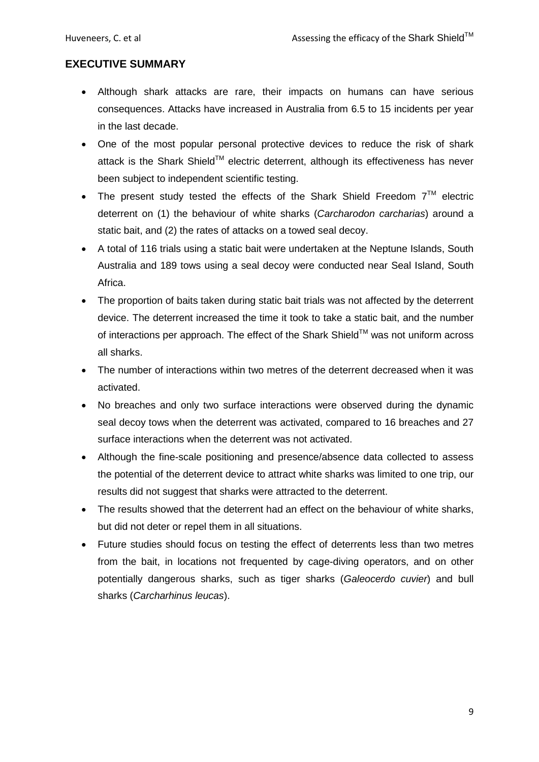# **EXECUTIVE SUMMARY**

- Although shark attacks are rare, their impacts on humans can have serious consequences. Attacks have increased in Australia from 6.5 to 15 incidents per year in the last decade.
- One of the most popular personal protective devices to reduce the risk of shark attack is the Shark Shield<sup>™</sup> electric deterrent, although its effectiveness has never been subject to independent scientific testing.
- The present study tested the effects of the Shark Shield Freedom  $7<sup>TM</sup>$  electric deterrent on (1) the behaviour of white sharks (*Carcharodon carcharias*) around a static bait, and (2) the rates of attacks on a towed seal decoy.
- A total of 116 trials using a static bait were undertaken at the Neptune Islands, South Australia and 189 tows using a seal decoy were conducted near Seal Island, South Africa.
- The proportion of baits taken during static bait trials was not affected by the deterrent device. The deterrent increased the time it took to take a static bait, and the number of interactions per approach. The effect of the Shark Shield™ was not uniform across all sharks.
- The number of interactions within two metres of the deterrent decreased when it was activated.
- No breaches and only two surface interactions were observed during the dynamic seal decoy tows when the deterrent was activated, compared to 16 breaches and 27 surface interactions when the deterrent was not activated.
- Although the fine-scale positioning and presence/absence data collected to assess the potential of the deterrent device to attract white sharks was limited to one trip, our results did not suggest that sharks were attracted to the deterrent.
- The results showed that the deterrent had an effect on the behaviour of white sharks, but did not deter or repel them in all situations.
- Future studies should focus on testing the effect of deterrents less than two metres from the bait, in locations not frequented by cage-diving operators, and on other potentially dangerous sharks, such as tiger sharks (*Galeocerdo cuvier*) and bull sharks (*Carcharhinus leucas*).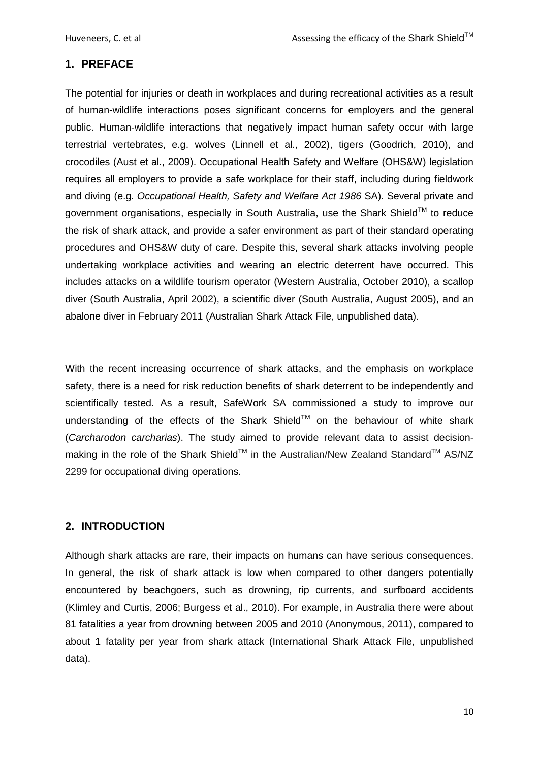# <span id="page-9-0"></span>**1. PREFACE**

The potential for injuries or death in workplaces and during recreational activities as a result of human-wildlife interactions poses significant concerns for employers and the general public. Human-wildlife interactions that negatively impact human safety occur with large terrestrial vertebrates, e.g. wolves [\(Linnell et al., 2002\)](#page-58-0), tigers [\(Goodrich, 2010\)](#page-56-0), and crocodiles [\(Aust et al., 2009\)](#page-55-0). Occupational Health Safety and Welfare (OHS&W) legislation requires all employers to provide a safe workplace for their staff, including during fieldwork and diving (e.g. *Occupational Health, Safety and Welfare Act 1986* SA). Several private and government organisations, especially in South Australia, use the Shark Shield™ to reduce the risk of shark attack, and provide a safer environment as part of their standard operating procedures and OHS&W duty of care. Despite this, several shark attacks involving people undertaking workplace activities and wearing an electric deterrent have occurred. This includes attacks on a wildlife tourism operator (Western Australia, October 2010), a scallop diver (South Australia, April 2002), a scientific diver (South Australia, August 2005), and an abalone diver in February 2011 (Australian Shark Attack File, unpublished data).

With the recent increasing occurrence of shark attacks, and the emphasis on workplace safety, there is a need for risk reduction benefits of shark deterrent to be independently and scientifically tested. As a result, SafeWork SA commissioned a study to improve our understanding of the effects of the Shark Shield™ on the behaviour of white shark (*Carcharodon carcharias*). The study aimed to provide relevant data to assist decisionmaking in the role of the Shark Shield™ in the Australian/New Zealand Standard™ AS/NZ 2299 for occupational diving operations.

# <span id="page-9-1"></span>**2. INTRODUCTION**

Although shark attacks are rare, their impacts on humans can have serious consequences. In general, the risk of shark attack is low when compared to other dangers potentially encountered by beachgoers, such as drowning, rip currents, and surfboard accidents [\(Klimley and Curtis, 2006;](#page-58-1) [Burgess et al., 2010\)](#page-55-1). For example, in Australia there were about 81 fatalities a year from drowning between 2005 and 2010 [\(Anonymous, 2011\)](#page-55-2), compared to about 1 fatality per year from shark attack (International Shark Attack File, unpublished data).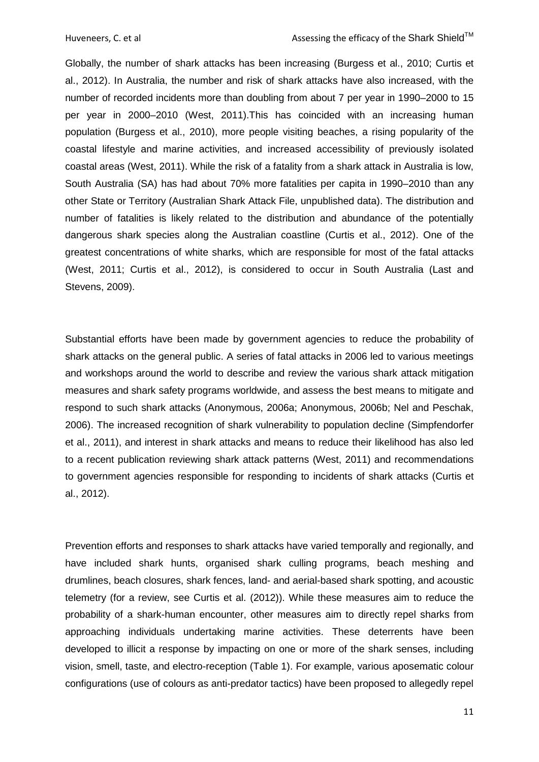Globally, the number of shark attacks has been increasing [\(Burgess et al., 2010;](#page-55-1) [Curtis et](#page-56-1)  [al., 2012\)](#page-56-1). In Australia, the number and risk of shark attacks have also increased, with the number of recorded incidents more than doubling from about 7 per year in 1990–2000 to 15 per year in 2000–2010 [\(West, 2011\)](#page-60-0).This has coincided with an increasing human population [\(Burgess et al., 2010\)](#page-55-1), more people visiting beaches, a rising popularity of the coastal lifestyle and marine activities, and increased accessibility of previously isolated coastal areas [\(West,](#page-60-0) 2011). While the risk of a fatality from a shark attack in Australia is low, South Australia (SA) has had about 70% more fatalities per capita in 1990–2010 than any other State or Territory (Australian Shark Attack File, unpublished data). The distribution and number of fatalities is likely related to the distribution and abundance of the potentially dangerous shark species along the Australian coastline (Curtis et al., 2012). One of the greatest concentrations of white sharks, which are responsible for most of the fatal attacks [\(West, 2011;](#page-60-0) [Curtis et al., 2012\)](#page-56-1), is considered to occur in South Australia [\(Last and](#page-58-2)  [Stevens, 2009\)](#page-58-2).

Substantial efforts have been made by government agencies to reduce the probability of shark attacks on the general public. A series of fatal attacks in 2006 led to various meetings and workshops around the world to describe and review the various shark attack mitigation measures and shark safety programs worldwide, and assess the best means to mitigate and respond to such shark attacks [\(Anonymous, 2006a;](#page-54-2) [Anonymous, 2006b;](#page-54-3) [Nel and Peschak,](#page-58-3)  [2006\)](#page-58-3). The increased recognition of shark vulnerability to population decline [\(Simpfendorfer](#page-59-0)  [et al., 2011\)](#page-59-0), and interest in shark attacks and means to reduce their likelihood has also led to a recent publication reviewing shark attack patterns [\(West, 2011\)](#page-60-0) and recommendations to government agencies responsible for responding to incidents of shark attacks [\(Curtis et](#page-56-1)  [al., 2012\)](#page-56-1).

Prevention efforts and responses to shark attacks have varied temporally and regionally, and have included shark hunts, organised shark culling programs, beach meshing and drumlines, beach closures, shark fences, land- and aerial-based shark spotting, and acoustic telemetry (for a review, see Curtis et al. [\(2012\)](#page-56-1)). While these measures aim to reduce the probability of a shark-human encounter, other measures aim to directly repel sharks from approaching individuals undertaking marine activities. These deterrents have been developed to illicit a response by impacting on one or more of the shark senses, including vision, smell, taste, and electro-reception [\(Table 1\)](#page-11-0). For example, various aposematic colour configurations (use of colours as anti-predator tactics) have been proposed to allegedly repel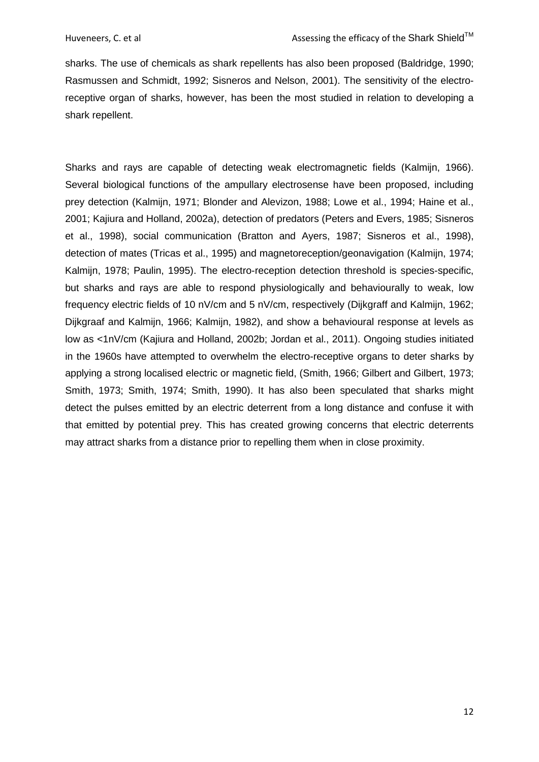sharks. The use of chemicals as shark repellents has also been proposed [\(Baldridge, 1990;](#page-55-3) [Rasmussen and Schmidt, 1992;](#page-59-1) [Sisneros and Nelson, 2001\)](#page-59-2). The sensitivity of the electroreceptive organ of sharks, however, has been the most studied in relation to developing a shark repellent.

<span id="page-11-0"></span>Sharks and rays are capable of detecting weak electromagnetic fields [\(Kalmijn, 1966\)](#page-57-0). Several biological functions of the ampullary electrosense have been proposed, including prey detection [\(Kalmijn, 1971;](#page-57-1) [Blonder and Alevizon, 1988;](#page-55-4) [Lowe et al., 1994;](#page-58-4) [Haine et al.,](#page-57-2)  [2001;](#page-57-2) [Kajiura and Holland, 2002a\)](#page-57-3), detection of predators [\(Peters and Evers, 1985;](#page-59-3) [Sisneros](#page-59-4)  [et al., 1998\)](#page-59-4), social communication [\(Bratton and Ayers, 1987;](#page-55-5) [Sisneros et al., 1998\)](#page-59-4), detection of mates [\(Tricas et al., 1995\)](#page-60-1) and magnetoreception/geonavigation [\(Kalmijn, 1974;](#page-57-4) [Kalmijn, 1978;](#page-57-5) [Paulin, 1995\)](#page-59-5). The electro-reception detection threshold is species-specific, but sharks and rays are able to respond physiologically and behaviourally to weak, low frequency electric fields of 10 nV/cm and 5 nV/cm, respectively [\(Dijkgraff and Kalmijn, 1962;](#page-56-2) [Dijkgraaf and Kalmijn, 1966;](#page-56-3) [Kalmijn, 1982\)](#page-57-6), and show a behavioural response at levels as low as <1nV/cm [\(Kajiura and Holland, 2002b;](#page-57-7) [Jordan et al., 2011\)](#page-57-8). Ongoing studies initiated in the 1960s have attempted to overwhelm the electro-receptive organs to deter sharks by applying a strong localised electric or magnetic field, [\(Smith, 1966;](#page-59-6) [Gilbert and Gilbert, 1973;](#page-56-4) [Smith, 1973;](#page-59-7) [Smith, 1974;](#page-59-8) [Smith, 1990\)](#page-59-9). It has also been speculated that sharks might detect the pulses emitted by an electric deterrent from a long distance and confuse it with that emitted by potential prey. This has created growing concerns that electric deterrents may attract sharks from a distance prior to repelling them when in close proximity.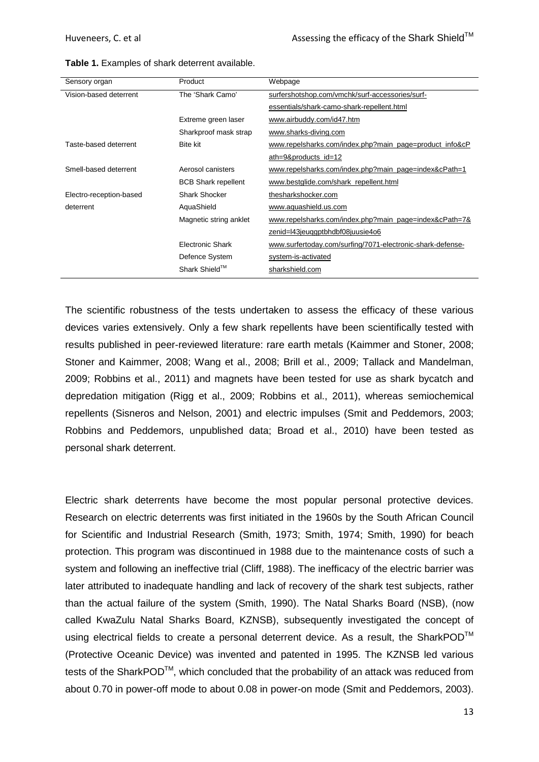| Sensory organ           | Product                    | Webpage                                                    |
|-------------------------|----------------------------|------------------------------------------------------------|
| Vision-based deterrent  | The 'Shark Camo'           | surfershotshop.com/vmchk/surf-accessories/surf-            |
|                         |                            | essentials/shark-camo-shark-repellent.html                 |
|                         | Extreme green laser        | www.airbuddy.com/id47.htm                                  |
|                         | Sharkproof mask strap      | www.sharks-diving.com                                      |
| Taste-based deterrent   | <b>Bite kit</b>            | www.repelsharks.com/index.php?main_page=product_info&cP    |
|                         |                            | ath=9&products_id=12                                       |
| Smell-based deterrent   | Aerosol canisters          | www.repelsharks.com/index.php?main_page=index&cPath=1      |
|                         | <b>BCB Shark repellent</b> | www.bestglide.com/shark repellent.html                     |
| Electro-reception-based | <b>Shark Shocker</b>       | thesharkshocker.com                                        |
| deterrent               | AquaShield                 | www.aquashield.us.com                                      |
|                         | Magnetic string anklet     | www.repelsharks.com/index.php?main_page=index&cPath=7&     |
|                         |                            | zenid=l43jeuggptbhdbf08juusie4o6                           |
|                         | <b>Electronic Shark</b>    | www.surfertoday.com/surfing/7071-electronic-shark-defense- |
|                         | Defence System             | system-is-activated                                        |
|                         | Shark Shield™              | sharkshield.com                                            |

<span id="page-12-0"></span>**Table 1.** Examples of shark deterrent available.

The scientific robustness of the tests undertaken to assess the efficacy of these various devices varies extensively. Only a few shark repellents have been scientifically tested with results published in peer-reviewed literature: rare earth metals [\(Kaimmer and Stoner, 2008;](#page-57-9) [Stoner and Kaimmer, 2008;](#page-59-10) [Wang et al., 2008;](#page-60-2) [Brill et al., 2009;](#page-55-6) [Tallack and Mandelman,](#page-60-3)  [2009;](#page-60-3) [Robbins et al., 2011\)](#page-59-11) and magnets have been tested for use as shark bycatch and depredation mitigation [\(Rigg et al., 2009;](#page-59-12) [Robbins et al., 2011\)](#page-59-11), whereas semiochemical repellents [\(Sisneros and Nelson, 2001\)](#page-59-2) and electric impulses [\(Smit and Peddemors, 2003;](#page-59-13)  [Robbins and Peddemors, unpublished data;](#page-59-13) [Broad et al., 2010\)](#page-55-7) have been tested as personal shark deterrent.

Electric shark deterrents have become the most popular personal protective devices. Research on electric deterrents was first initiated in the 1960s by the South African Council for Scientific and Industrial Research [\(Smith, 1973;](#page-59-7) [Smith, 1974;](#page-59-8) [Smith, 1990\)](#page-59-9) for beach protection. This program was discontinued in 1988 due to the maintenance costs of such a system and following an ineffective trial [\(Cliff, 1988\)](#page-56-5). The inefficacy of the electric barrier was later attributed to inadequate handling and lack of recovery of the shark test subjects, rather than the actual failure of the system [\(Smith, 1990\)](#page-59-9). The Natal Sharks Board (NSB), (now called KwaZulu Natal Sharks Board, KZNSB), subsequently investigated the concept of using electrical fields to create a personal deterrent device. As a result, the SharkPOD™ (Protective Oceanic Device) was invented and patented in 1995. The KZNSB led various tests of the SharkPOD<sup>TM</sup>, which concluded that the probability of an attack was reduced from about 0.70 in power-off mode to about 0.08 in power-on mode [\(Smit and Peddemors, 2003\)](#page-59-13).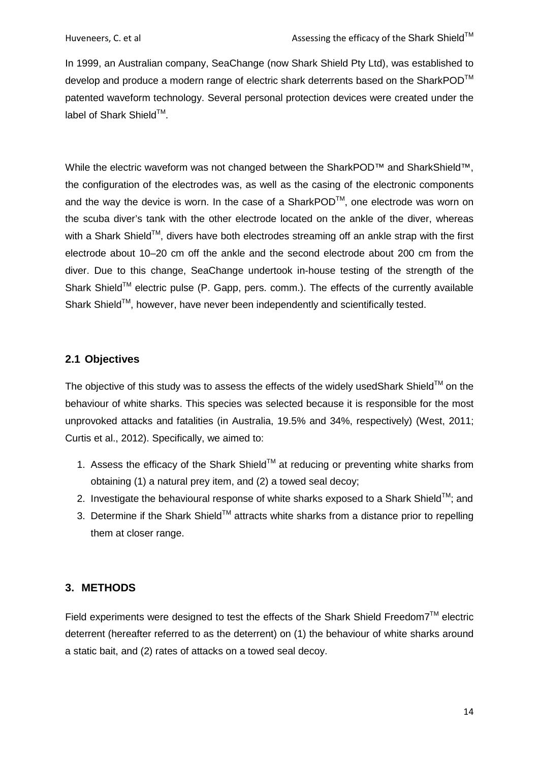In 1999, an Australian company, SeaChange (now Shark Shield Pty Ltd), was established to develop and produce a modern range of electric shark deterrents based on the SharkPOD™ patented waveform technology. Several personal protection devices were created under the label of Shark Shield™.

While the electric waveform was not changed between the SharkPOD™ and SharkShield™, the configuration of the electrodes was, as well as the casing of the electronic components and the way the device is worn. In the case of a SharkPOD<sup>TM</sup>, one electrode was worn on the scuba diver's tank with the other electrode located on the ankle of the diver, whereas with a Shark Shield<sup>TM</sup>, divers have both electrodes streaming off an ankle strap with the first electrode about 10–20 cm off the ankle and the second electrode about 200 cm from the diver. Due to this change, SeaChange undertook in-house testing of the strength of the Shark Shield™ electric pulse (P. Gapp, pers. comm.). The effects of the currently available Shark Shield™. however, have never been independently and scientifically tested.

### <span id="page-13-0"></span>**2.1 Objectives**

The objective of this study was to assess the effects of the widely usedShark Shield<sup>TM</sup> on the behaviour of white sharks. This species was selected because it is responsible for the most unprovoked attacks and fatalities (in Australia, 19.5% and 34%, respectively) [\(West, 2011;](#page-60-0) [Curtis et al., 2012\)](#page-56-1). Specifically, we aimed to:

- 1. Assess the efficacy of the Shark Shield<sup>TM</sup> at reducing or preventing white sharks from obtaining (1) a natural prey item, and (2) a towed seal decoy;
- 2. Investigate the behavioural response of white sharks exposed to a Shark Shield<sup>TM</sup>; and
- 3. Determine if the Shark Shield<sup>TM</sup> attracts white sharks from a distance prior to repelling them at closer range.

### <span id="page-13-1"></span>**3. METHODS**

Field experiments were designed to test the effects of the Shark Shield Freedom7 $^{TM}$  electric deterrent (hereafter referred to as the deterrent) on (1) the behaviour of white sharks around a static bait, and (2) rates of attacks on a towed seal decoy.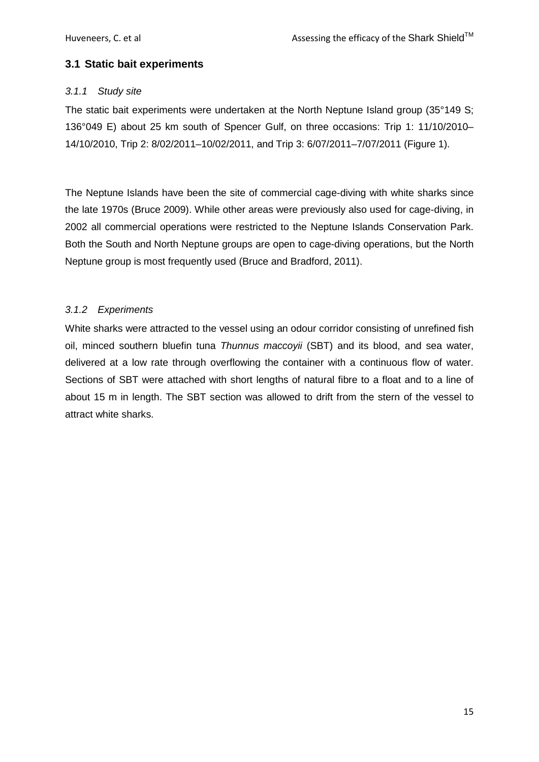# <span id="page-14-0"></span>**3.1 Static bait experiments**

# <span id="page-14-1"></span>*3.1.1 Study site*

The static bait experiments were undertaken at the North Neptune Island group (35°149 S; 136°049 E) about 25 km south of Spencer Gulf, on three occasions: Trip 1: 11/10/2010– 14/10/2010, Trip 2: 8/02/2011–10/02/2011, and Trip 3: 6/07/2011–7/07/2011 [\(Figure 1\)](#page-15-0).

The Neptune Islands have been the site of commercial cage-diving with white sharks since the late 1970s (Bruce 2009). While other areas were previously also used for cage-diving, in 2002 all commercial operations were restricted to the Neptune Islands Conservation Park. Both the South and North Neptune groups are open to cage-diving operations, but the North Neptune group is most frequently used [\(Bruce and Bradford, 2011\)](#page-55-8).

# <span id="page-14-2"></span>*3.1.2 Experiments*

White sharks were attracted to the vessel using an odour corridor consisting of unrefined fish oil, minced southern bluefin tuna *Thunnus maccoyii* (SBT) and its blood, and sea water, delivered at a low rate through overflowing the container with a continuous flow of water. Sections of SBT were attached with short lengths of natural fibre to a float and to a line of about 15 m in length. The SBT section was allowed to drift from the stern of the vessel to attract white sharks.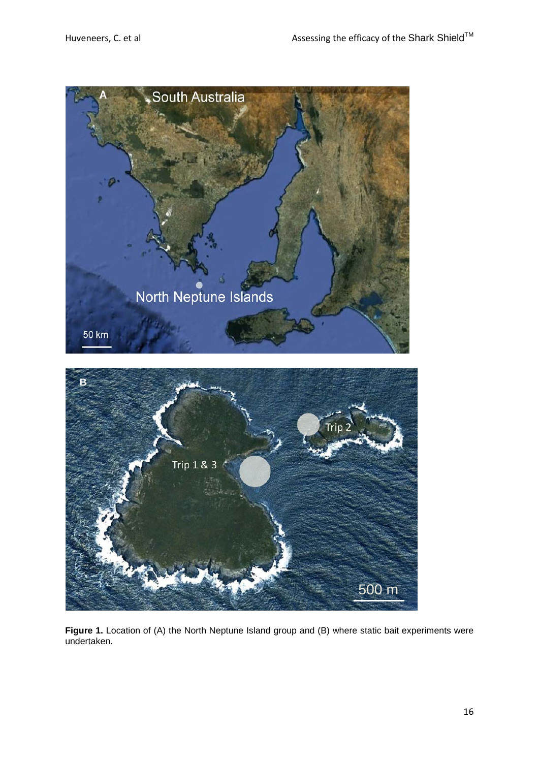

<span id="page-15-0"></span>**Figure 1.** Location of (A) the North Neptune Island group and (B) where static bait experiments were undertaken.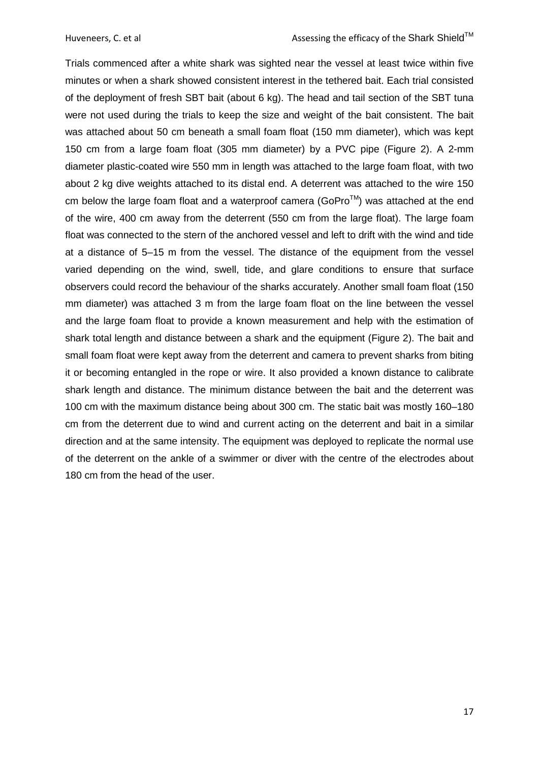Trials commenced after a white shark was sighted near the vessel at least twice within five minutes or when a shark showed consistent interest in the tethered bait. Each trial consisted of the deployment of fresh SBT bait (about 6 kg). The head and tail section of the SBT tuna were not used during the trials to keep the size and weight of the bait consistent. The bait was attached about 50 cm beneath a small foam float (150 mm diameter), which was kept 150 cm from a large foam float (305 mm diameter) by a PVC pipe [\(Figure 2\)](#page-17-0). A 2-mm diameter plastic-coated wire 550 mm in length was attached to the large foam float, with two about 2 kg dive weights attached to its distal end. A deterrent was attached to the wire 150 cm below the large foam float and a waterproof camera (GoPro $^{TM}$ ) was attached at the end of the wire, 400 cm away from the deterrent (550 cm from the large float). The large foam float was connected to the stern of the anchored vessel and left to drift with the wind and tide at a distance of 5–15 m from the vessel. The distance of the equipment from the vessel varied depending on the wind, swell, tide, and glare conditions to ensure that surface observers could record the behaviour of the sharks accurately. Another small foam float (150 mm diameter) was attached 3 m from the large foam float on the line between the vessel and the large foam float to provide a known measurement and help with the estimation of shark total length and distance between a shark and the equipment [\(Figure 2\)](#page-17-0). The bait and small foam float were kept away from the deterrent and camera to prevent sharks from biting it or becoming entangled in the rope or wire. It also provided a known distance to calibrate shark length and distance. The minimum distance between the bait and the deterrent was 100 cm with the maximum distance being about 300 cm. The static bait was mostly 160–180 cm from the deterrent due to wind and current acting on the deterrent and bait in a similar direction and at the same intensity. The equipment was deployed to replicate the normal use of the deterrent on the ankle of a swimmer or diver with the centre of the electrodes about 180 cm from the head of the user.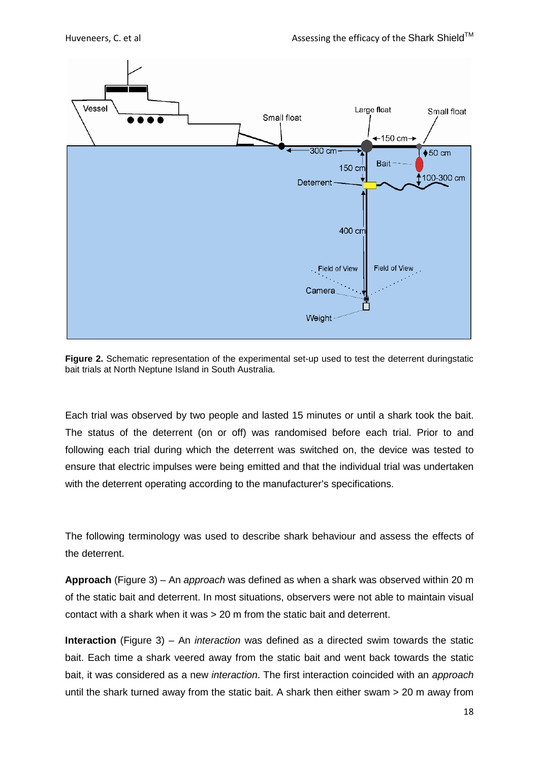

<span id="page-17-0"></span>**Figure 2.** Schematic representation of the experimental set-up used to test the deterrent duringstatic bait trials at North Neptune Island in South Australia.

Each trial was observed by two people and lasted 15 minutes or until a shark took the bait. The status of the deterrent (on or off) was randomised before each trial. Prior to and following each trial during which the deterrent was switched on, the device was tested to ensure that electric impulses were being emitted and that the individual trial was undertaken with the deterrent operating according to the manufacturer's specifications.

The following terminology was used to describe shark behaviour and assess the effects of the deterrent.

**Approach** [\(Figure 3\)](#page-19-0) – An *approach* was defined as when a shark was observed within 20 m of the static bait and deterrent. In most situations, observers were not able to maintain visual contact with a shark when it was > 20 m from the static bait and deterrent.

**Interaction** [\(Figure 3\)](#page-19-0) – An *interaction* was defined as a directed swim towards the static bait. Each time a shark veered away from the static bait and went back towards the static bait, it was considered as a new *interaction*. The first interaction coincided with an *approach* until the shark turned away from the static bait. A shark then either swam > 20 m away from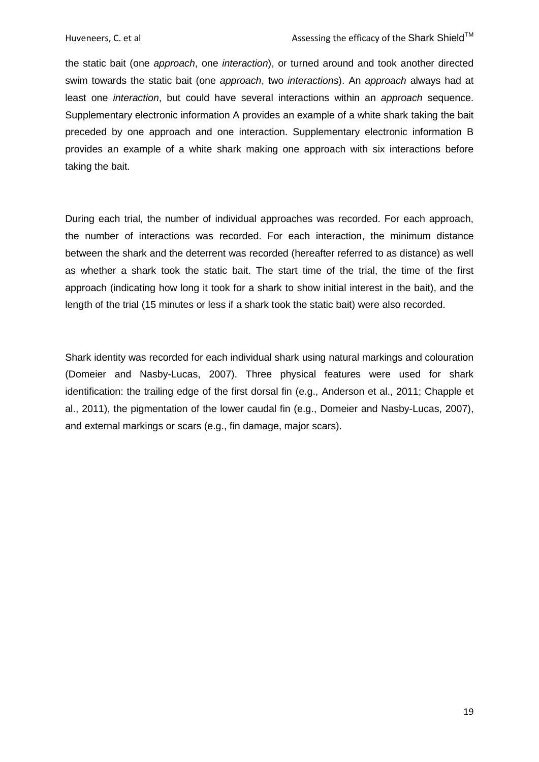the static bait (one *approach*, one *interaction*), or turned around and took another directed swim towards the static bait (one *approach*, two *interactions*). An *approach* always had at least one *interaction*, but could have several interactions within an *approach* sequence. Supplementary electronic information A provides an example of a white shark taking the bait preceded by one approach and one interaction. Supplementary electronic information B provides an example of a white shark making one approach with six interactions before taking the bait.

During each trial, the number of individual approaches was recorded. For each approach, the number of interactions was recorded. For each interaction, the minimum distance between the shark and the deterrent was recorded (hereafter referred to as distance) as well as whether a shark took the static bait. The start time of the trial, the time of the first approach (indicating how long it took for a shark to show initial interest in the bait), and the length of the trial (15 minutes or less if a shark took the static bait) were also recorded.

Shark identity was recorded for each individual shark using natural markings and colouration [\(Domeier and Nasby-Lucas, 2007\)](#page-56-6). Three physical features were used for shark identification: the trailing edge of the first dorsal fin (e.g., [Anderson et al., 2011;](#page-54-4) [Chapple et](#page-56-7)  [al., 2011\)](#page-56-7), the pigmentation of the lower caudal fin [\(e.g., Domeier and Nasby-Lucas, 2007\)](#page-56-6), and external markings or scars (e.g., fin damage, major scars).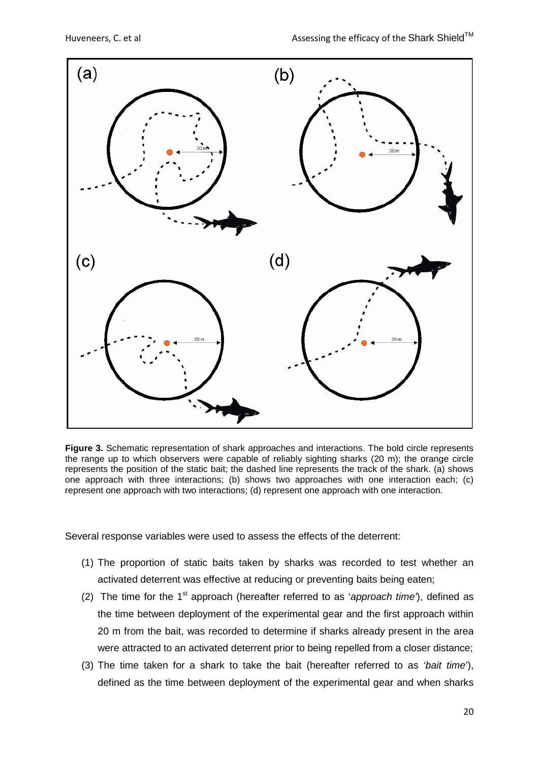

<span id="page-19-0"></span>**Figure 3.** Schematic representation of shark approaches and interactions. The bold circle represents the range up to which observers were capable of reliably sighting sharks (20 m); the orange circle represents the position of the static bait; the dashed line represents the track of the shark. (a) shows one approach with three interactions; (b) shows two approaches with one interaction each; (c) represent one approach with two interactions; (d) represent one approach with one interaction.

Several response variables were used to assess the effects of the deterrent:

- (1) The proportion of static baits taken by sharks was recorded to test whether an activated deterrent was effective at reducing or preventing baits being eaten;
- (2) The time for the 1<sup>st</sup> approach (hereafter referred to as 'approach time'), defined as the time between deployment of the experimental gear and the first approach within 20 m from the bait, was recorded to determine if sharks already present in the area were attracted to an activated deterrent prior to being repelled from a closer distance;
- (3) The time taken for a shark to take the bait (hereafter referred to as '*bait time*'), defined as the time between deployment of the experimental gear and when sharks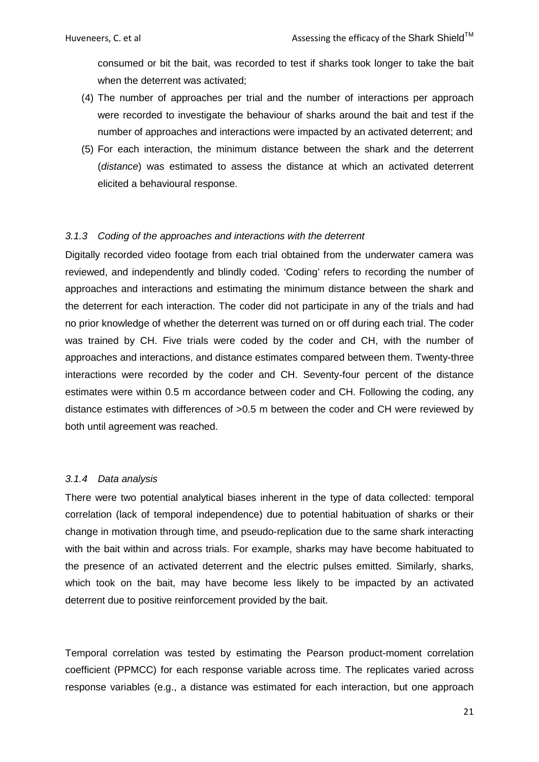consumed or bit the bait, was recorded to test if sharks took longer to take the bait when the deterrent was activated;

- (4) The number of approaches per trial and the number of interactions per approach were recorded to investigate the behaviour of sharks around the bait and test if the number of approaches and interactions were impacted by an activated deterrent; and
- (5) For each interaction, the minimum distance between the shark and the deterrent (*distance*) was estimated to assess the distance at which an activated deterrent elicited a behavioural response.

### <span id="page-20-0"></span>*3.1.3 Coding of the approaches and interactions with the deterrent*

Digitally recorded video footage from each trial obtained from the underwater camera was reviewed, and independently and blindly coded. 'Coding' refers to recording the number of approaches and interactions and estimating the minimum distance between the shark and the deterrent for each interaction. The coder did not participate in any of the trials and had no prior knowledge of whether the deterrent was turned on or off during each trial. The coder was trained by CH. Five trials were coded by the coder and CH, with the number of approaches and interactions, and distance estimates compared between them. Twenty-three interactions were recorded by the coder and CH. Seventy-four percent of the distance estimates were within 0.5 m accordance between coder and CH. Following the coding, any distance estimates with differences of >0.5 m between the coder and CH were reviewed by both until agreement was reached.

#### <span id="page-20-1"></span>*3.1.4 Data analysis*

There were two potential analytical biases inherent in the type of data collected: temporal correlation (lack of temporal independence) due to potential habituation of sharks or their change in motivation through time, and pseudo-replication due to the same shark interacting with the bait within and across trials. For example, sharks may have become habituated to the presence of an activated deterrent and the electric pulses emitted. Similarly, sharks, which took on the bait, may have become less likely to be impacted by an activated deterrent due to positive reinforcement provided by the bait.

Temporal correlation was tested by estimating the Pearson product-moment correlation coefficient (PPMCC) for each response variable across time. The replicates varied across response variables (e.g., a distance was estimated for each interaction, but one approach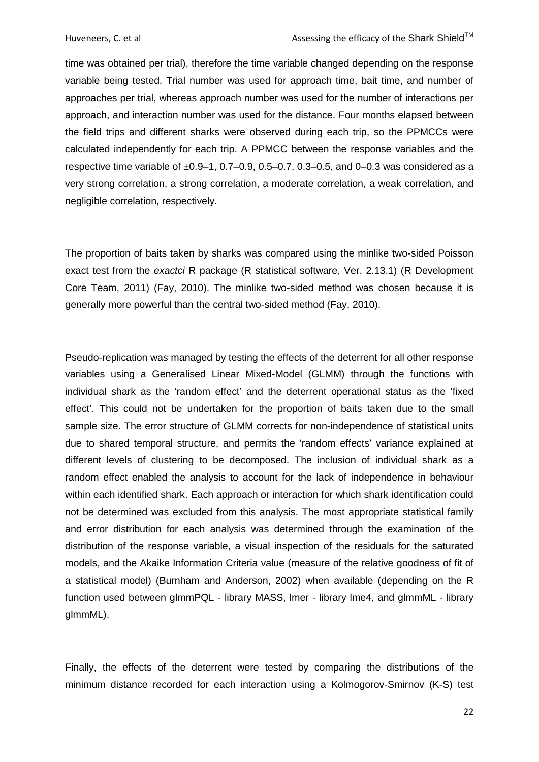time was obtained per trial), therefore the time variable changed depending on the response variable being tested. Trial number was used for approach time, bait time, and number of approaches per trial, whereas approach number was used for the number of interactions per approach, and interaction number was used for the distance. Four months elapsed between the field trips and different sharks were observed during each trip, so the PPMCCs were calculated independently for each trip. A PPMCC between the response variables and the respective time variable of  $\pm 0.9-1$ , 0.7–0.9, 0.5–0.7, 0.3–0.5, and 0–0.3 was considered as a very strong correlation, a strong correlation, a moderate correlation, a weak correlation, and negligible correlation, respectively.

The proportion of baits taken by sharks was compared using the minlike two-sided Poisson exact test from the *exactci* R package (R statistical software, Ver. 2.13.1) (R Development Core Team, 2011) [\(Fay, 2010\)](#page-56-8). The minlike two-sided method was chosen because it is generally more powerful than the central two-sided method [\(Fay, 2010\)](#page-56-8).

Pseudo-replication was managed by testing the effects of the deterrent for all other response variables using a Generalised Linear Mixed-Model (GLMM) through the functions with individual shark as the 'random effect' and the deterrent operational status as the 'fixed effect'. This could not be undertaken for the proportion of baits taken due to the small sample size. The error structure of GLMM corrects for non-independence of statistical units due to shared temporal structure, and permits the 'random effects' variance explained at different levels of clustering to be decomposed. The inclusion of individual shark as a random effect enabled the analysis to account for the lack of independence in behaviour within each identified shark. Each approach or interaction for which shark identification could not be determined was excluded from this analysis. The most appropriate statistical family and error distribution for each analysis was determined through the examination of the distribution of the response variable, a visual inspection of the residuals for the saturated models, and the Akaike Information Criteria value (measure of the relative goodness of fit of a statistical model) [\(Burnham and Anderson, 2002\)](#page-56-9) when available (depending on the R function used between glmmPQL - library MASS, lmer - library lme4, and glmmML - library glmmML).

Finally, the effects of the deterrent were tested by comparing the distributions of the minimum distance recorded for each interaction using a Kolmogorov-Smirnov (K-S) test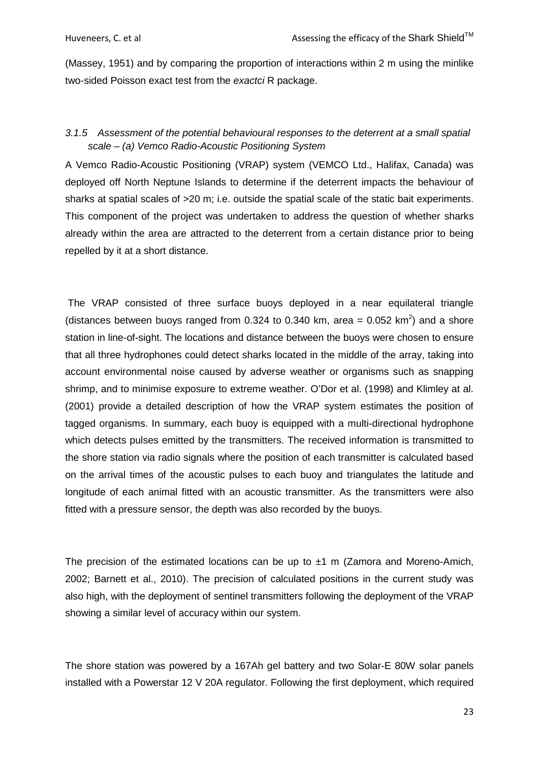[\(Massey, 1951\)](#page-58-5) and by comparing the proportion of interactions within 2 m using the minlike two-sided Poisson exact test from the *exactci* R package.

# <span id="page-22-0"></span>*3.1.5 Assessment of the potential behavioural responses to the deterrent at a small spatial scale – (a) Vemco Radio-Acoustic Positioning System*

A Vemco Radio-Acoustic Positioning (VRAP) system (VEMCO Ltd., Halifax, Canada) was deployed off North Neptune Islands to determine if the deterrent impacts the behaviour of sharks at spatial scales of >20 m; i.e. outside the spatial scale of the static bait experiments. This component of the project was undertaken to address the question of whether sharks already within the area are attracted to the deterrent from a certain distance prior to being repelled by it at a short distance.

The VRAP consisted of three surface buoys deployed in a near equilateral triangle (distances between buoys ranged from 0.324 to 0.340 km, area = 0.052 km<sup>2</sup>) and a shore station in line-of-sight. The locations and distance between the buoys were chosen to ensure that all three hydrophones could detect sharks located in the middle of the array, taking into account environmental noise caused by adverse weather or organisms such as snapping shrimp, and to minimise exposure to extreme weather. O'Dor et al. [\(1998\)](#page-58-6) and Klimley at al. [\(2001\)](#page-57-10) provide a detailed description of how the VRAP system estimates the position of tagged organisms. In summary, each buoy is equipped with a multi-directional hydrophone which detects pulses emitted by the transmitters. The received information is transmitted to the shore station via radio signals where the position of each transmitter is calculated based on the arrival times of the acoustic pulses to each buoy and triangulates the latitude and longitude of each animal fitted with an acoustic transmitter. As the transmitters were also fitted with a pressure sensor, the depth was also recorded by the buoys.

The precision of the estimated locations can be up to  $\pm 1$  m (Zamora and Moreno-Amich, [2002;](#page-60-4) [Barnett et al., 2010\)](#page-55-9). The precision of calculated positions in the current study was also high, with the deployment of sentinel transmitters following the deployment of the VRAP showing a similar level of accuracy within our system.

The shore station was powered by a 167Ah gel battery and two Solar-E 80W solar panels installed with a Powerstar 12 V 20A regulator. Following the first deployment, which required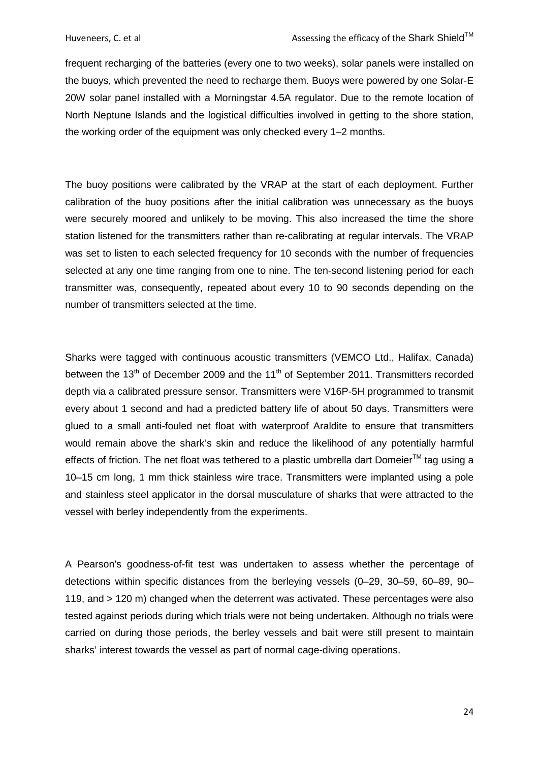frequent recharging of the batteries (every one to two weeks), solar panels were installed on the buoys, which prevented the need to recharge them. Buoys were powered by one Solar-E 20W solar panel installed with a Morningstar 4.5A regulator. Due to the remote location of North Neptune Islands and the logistical difficulties involved in getting to the shore station, the working order of the equipment was only checked every 1–2 months.

The buoy positions were calibrated by the VRAP at the start of each deployment. Further calibration of the buoy positions after the initial calibration was unnecessary as the buoys were securely moored and unlikely to be moving. This also increased the time the shore station listened for the transmitters rather than re-calibrating at regular intervals. The VRAP was set to listen to each selected frequency for 10 seconds with the number of frequencies selected at any one time ranging from one to nine. The ten-second listening period for each transmitter was, consequently, repeated about every 10 to 90 seconds depending on the number of transmitters selected at the time.

Sharks were tagged with continuous acoustic transmitters (VEMCO Ltd., Halifax, Canada) between the 13<sup>th</sup> of December 2009 and the 11<sup>th</sup> of September 2011. Transmitters recorded depth via a calibrated pressure sensor. Transmitters were V16P-5H programmed to transmit every about 1 second and had a predicted battery life of about 50 days. Transmitters were glued to a small anti-fouled net float with waterproof Araldite to ensure that transmitters would remain above the shark's skin and reduce the likelihood of any potentially harmful effects of friction. The net float was tethered to a plastic umbrella dart Domeier<sup>TM</sup> tag using a 10–15 cm long, 1 mm thick stainless wire trace. Transmitters were implanted using a pole and stainless steel applicator in the dorsal musculature of sharks that were attracted to the vessel with berley independently from the experiments.

A Pearson's goodness-of-fit test was undertaken to assess whether the percentage of detections within specific distances from the berleying vessels (0–29, 30–59, 60–89, 90– 119, and > 120 m) changed when the deterrent was activated. These percentages were also tested against periods during which trials were not being undertaken. Although no trials were carried on during those periods, the berley vessels and bait were still present to maintain sharks' interest towards the vessel as part of normal cage-diving operations.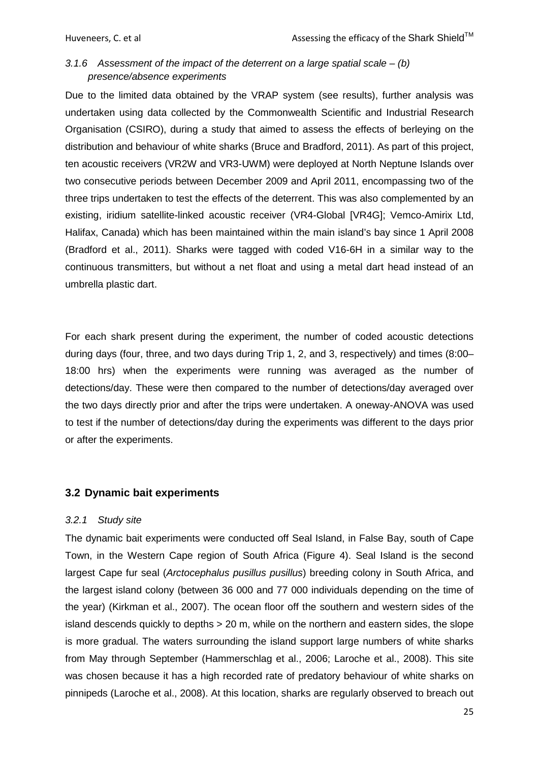# <span id="page-24-0"></span>*3.1.6 Assessment of the impact of the deterrent on a large spatial scale – (b) presence/absence experiments*

Due to the limited data obtained by the VRAP system (see results), further analysis was undertaken using data collected by the Commonwealth Scientific and Industrial Research Organisation (CSIRO), during a study that aimed to assess the effects of berleying on the distribution and behaviour of white sharks [\(Bruce and Bradford, 2011\)](#page-55-8). As part of this project, ten acoustic receivers (VR2W and VR3-UWM) were deployed at North Neptune Islands over two consecutive periods between December 2009 and April 2011, encompassing two of the three trips undertaken to test the effects of the deterrent. This was also complemented by an existing, iridium satellite-linked acoustic receiver (VR4-Global [VR4G]; Vemco-Amirix Ltd, Halifax, Canada) which has been maintained within the main island's bay since 1 April 2008 [\(Bradford et al., 2011\)](#page-55-10). Sharks were tagged with coded V16-6H in a similar way to the continuous transmitters, but without a net float and using a metal dart head instead of an umbrella plastic dart.

For each shark present during the experiment, the number of coded acoustic detections during days (four, three, and two days during Trip 1, 2, and 3, respectively) and times (8:00– 18:00 hrs) when the experiments were running was averaged as the number of detections/day. These were then compared to the number of detections/day averaged over the two days directly prior and after the trips were undertaken. A oneway-ANOVA was used to test if the number of detections/day during the experiments was different to the days prior or after the experiments.

### <span id="page-24-1"></span>**3.2 Dynamic bait experiments**

#### <span id="page-24-2"></span>*3.2.1 Study site*

The dynamic bait experiments were conducted off Seal Island, in False Bay, south of Cape Town, in the Western Cape region of South Africa [\(Figure 4\)](#page-25-1). Seal Island is the second largest Cape fur seal (*Arctocephalus pusillus pusillus*) breeding colony in South Africa, and the largest island colony (between 36 000 and 77 000 individuals depending on the time of the year) [\(Kirkman et al., 2007\)](#page-57-11). The ocean floor off the southern and western sides of the island descends quickly to depths > 20 m, while on the northern and eastern sides, the slope is more gradual. The waters surrounding the island support large numbers of white sharks from May through September [\(Hammerschlag et al., 2006;](#page-57-12) [Laroche et al., 2008\)](#page-58-7). This site was chosen because it has a high recorded rate of predatory behaviour of white sharks on pinnipeds [\(Laroche et al., 2008\)](#page-58-7). At this location, sharks are regularly observed to breach out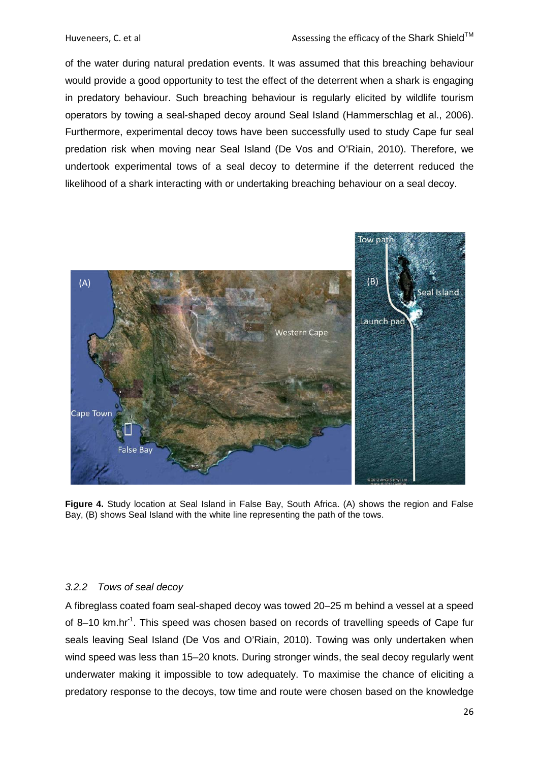of the water during natural predation events. It was assumed that this breaching behaviour would provide a good opportunity to test the effect of the deterrent when a shark is engaging in predatory behaviour. Such breaching behaviour is regularly elicited by wildlife tourism operators by towing a seal-shaped decoy around Seal Island [\(Hammerschlag et al., 2006\)](#page-57-12). Furthermore, experimental decoy tows have been successfully used to study Cape fur seal predation risk when moving near Seal Island [\(De Vos and O'Riain, 2010\)](#page-56-10). Therefore, we undertook experimental tows of a seal decoy to determine if the deterrent reduced the likelihood of a shark interacting with or undertaking breaching behaviour on a seal decoy.



<span id="page-25-1"></span>**Figure 4.** Study location at Seal Island in False Bay, South Africa. (A) shows the region and False Bay, (B) shows Seal Island with the white line representing the path of the tows.

#### <span id="page-25-0"></span>*3.2.2 Tows of seal decoy*

A fibreglass coated foam seal-shaped decoy was towed 20–25 m behind a vessel at a speed of 8-10 km.hr<sup>-1</sup>. This speed was chosen based on records of travelling speeds of Cape fur seals leaving Seal Island [\(De Vos and O'Riain, 2010\)](#page-56-10). Towing was only undertaken when wind speed was less than 15–20 knots. During stronger winds, the seal decoy regularly went underwater making it impossible to tow adequately. To maximise the chance of eliciting a predatory response to the decoys, tow time and route were chosen based on the knowledge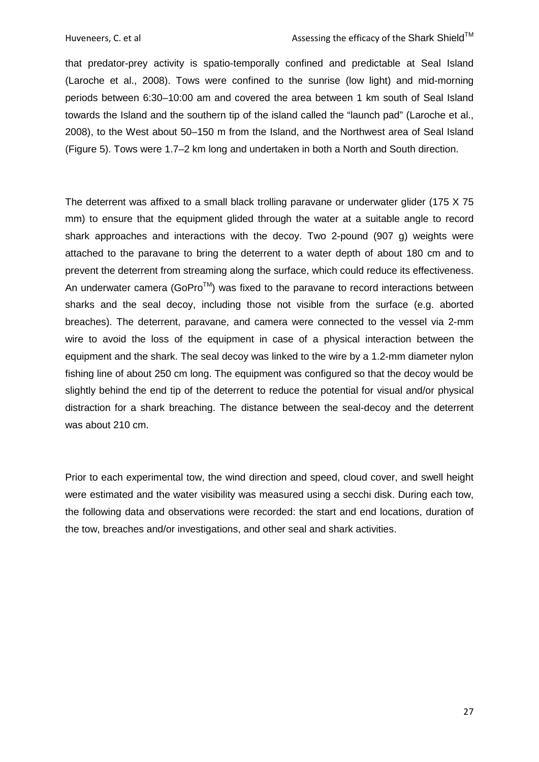that predator-prey activity is spatio-temporally confined and predictable at Seal Island [\(Laroche et al., 2008\)](#page-58-7). Tows were confined to the sunrise (low light) and mid-morning periods between 6:30–10:00 am and covered the area between 1 km south of Seal Island towards the Island and the southern tip of the island called the "launch pad" [\(Laroche et al.,](#page-58-7)  [2008\)](#page-58-7), to the West about 50–150 m from the Island, and the Northwest area of Seal Island [\(Figure 5\)](#page-27-1). Tows were 1.7–2 km long and undertaken in both a North and South direction.

The deterrent was affixed to a small black trolling paravane or underwater glider (175 X 75 mm) to ensure that the equipment glided through the water at a suitable angle to record shark approaches and interactions with the decoy. Two 2-pound (907 g) weights were attached to the paravane to bring the deterrent to a water depth of about 180 cm and to prevent the deterrent from streaming along the surface, which could reduce its effectiveness. An underwater camera (GoPro $TM$ ) was fixed to the paravane to record interactions between sharks and the seal decoy, including those not visible from the surface (e.g. aborted breaches). The deterrent, paravane, and camera were connected to the vessel via 2-mm wire to avoid the loss of the equipment in case of a physical interaction between the equipment and the shark. The seal decoy was linked to the wire by a 1.2-mm diameter nylon fishing line of about 250 cm long. The equipment was configured so that the decoy would be slightly behind the end tip of the deterrent to reduce the potential for visual and/or physical distraction for a shark breaching. The distance between the seal-decoy and the deterrent was about 210 cm.

Prior to each experimental tow, the wind direction and speed, cloud cover, and swell height were estimated and the water visibility was measured using a secchi disk. During each tow, the following data and observations were recorded: the start and end locations, duration of the tow, breaches and/or investigations, and other seal and shark activities.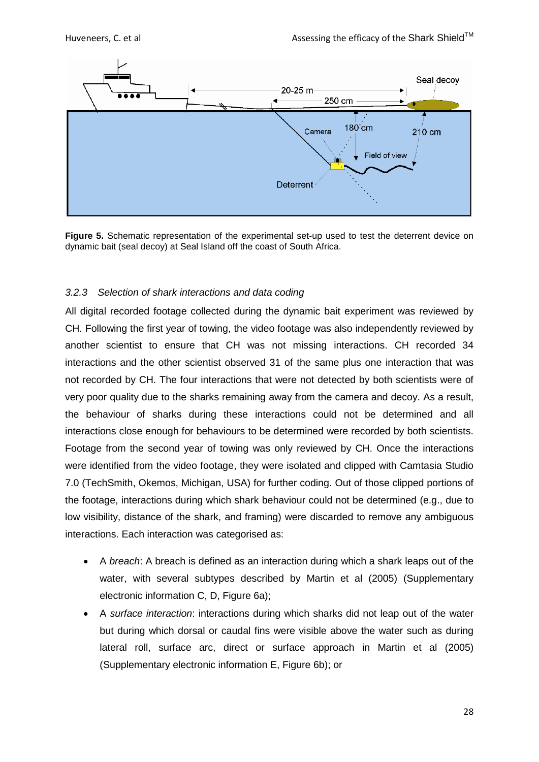

<span id="page-27-1"></span>**Figure 5.** Schematic representation of the experimental set-up used to test the deterrent device on dynamic bait (seal decoy) at Seal Island off the coast of South Africa.

# <span id="page-27-0"></span>*3.2.3 Selection of shark interactions and data coding*

All digital recorded footage collected during the dynamic bait experiment was reviewed by CH. Following the first year of towing, the video footage was also independently reviewed by another scientist to ensure that CH was not missing interactions. CH recorded 34 interactions and the other scientist observed 31 of the same plus one interaction that was not recorded by CH. The four interactions that were not detected by both scientists were of very poor quality due to the sharks remaining away from the camera and decoy. As a result, the behaviour of sharks during these interactions could not be determined and all interactions close enough for behaviours to be determined were recorded by both scientists. Footage from the second year of towing was only reviewed by CH. Once the interactions were identified from the video footage, they were isolated and clipped with Camtasia Studio 7.0 (TechSmith, Okemos, Michigan, USA) for further coding. Out of those clipped portions of the footage, interactions during which shark behaviour could not be determined (e.g., due to low visibility, distance of the shark, and framing) were discarded to remove any ambiguous interactions. Each interaction was categorised as:

- A *breach*: A breach is defined as an interaction during which a shark leaps out of the water, with several subtypes described by Martin et al [\(2005\)](#page-58-8) (Supplementary electronic information C, D, [Figure 6a](#page-29-1));
- A *surface interaction*: interactions during which sharks did not leap out of the water but during which dorsal or caudal fins were visible above the water such as during lateral roll, surface arc, direct or surface approach in Martin et al (2005) (Supplementary electronic information E, [Figure 6b](#page-29-1)); or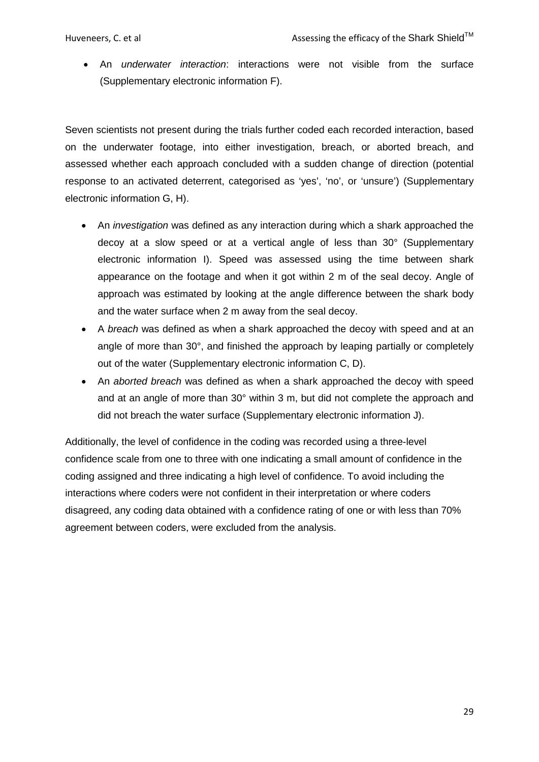• An *underwater interaction*: interactions were not visible from the surface (Supplementary electronic information F).

Seven scientists not present during the trials further coded each recorded interaction, based on the underwater footage, into either investigation, breach, or aborted breach, and assessed whether each approach concluded with a sudden change of direction (potential response to an activated deterrent, categorised as 'yes', 'no', or 'unsure') (Supplementary electronic information G, H).

- An *investigation* was defined as any interaction during which a shark approached the decoy at a slow speed or at a vertical angle of less than 30° (Supplementary electronic information I). Speed was assessed using the time between shark appearance on the footage and when it got within 2 m of the seal decoy. Angle of approach was estimated by looking at the angle difference between the shark body and the water surface when 2 m away from the seal decoy.
- A *breach* was defined as when a shark approached the decoy with speed and at an angle of more than 30°, and finished the approach by leaping partially or completely out of the water (Supplementary electronic information C, D).
- An *aborted breach* was defined as when a shark approached the decoy with speed and at an angle of more than 30° within 3 m, but did not complete the approach and did not breach the water surface (Supplementary electronic information J).

Additionally, the level of confidence in the coding was recorded using a three-level confidence scale from one to three with one indicating a small amount of confidence in the coding assigned and three indicating a high level of confidence. To avoid including the interactions where coders were not confident in their interpretation or where coders disagreed, any coding data obtained with a confidence rating of one or with less than 70% agreement between coders, were excluded from the analysis.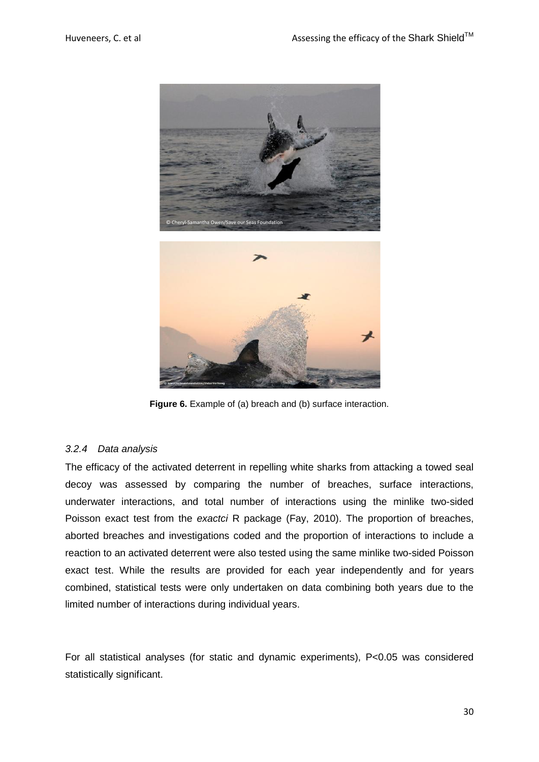

**Figure 6.** Example of (a) breach and (b) surface interaction.

### <span id="page-29-1"></span><span id="page-29-0"></span>*3.2.4 Data analysis*

The efficacy of the activated deterrent in repelling white sharks from attacking a towed seal decoy was assessed by comparing the number of breaches, surface interactions, underwater interactions, and total number of interactions using the minlike two-sided Poisson exact test from the *exactci* R package [\(Fay, 2010\)](#page-56-8). The proportion of breaches, aborted breaches and investigations coded and the proportion of interactions to include a reaction to an activated deterrent were also tested using the same minlike two-sided Poisson exact test. While the results are provided for each year independently and for years combined, statistical tests were only undertaken on data combining both years due to the limited number of interactions during individual years.

For all statistical analyses (for static and dynamic experiments), P<0.05 was considered statistically significant.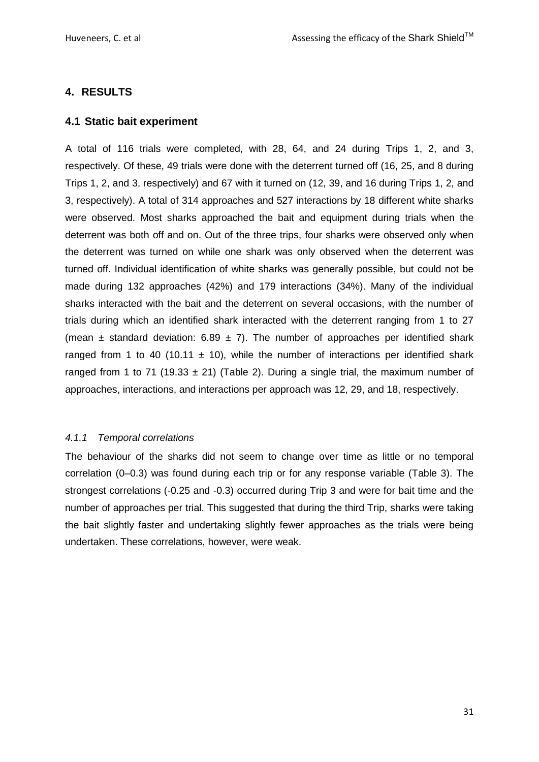# <span id="page-30-0"></span>**4. RESULTS**

## <span id="page-30-1"></span>**4.1 Static bait experiment**

A total of 116 trials were completed, with 28, 64, and 24 during Trips 1, 2, and 3, respectively. Of these, 49 trials were done with the deterrent turned off (16, 25, and 8 during Trips 1, 2, and 3, respectively) and 67 with it turned on (12, 39, and 16 during Trips 1, 2, and 3, respectively). A total of 314 approaches and 527 interactions by 18 different white sharks were observed. Most sharks approached the bait and equipment during trials when the deterrent was both off and on. Out of the three trips, four sharks were observed only when the deterrent was turned on while one shark was only observed when the deterrent was turned off. Individual identification of white sharks was generally possible, but could not be made during 132 approaches (42%) and 179 interactions (34%). Many of the individual sharks interacted with the bait and the deterrent on several occasions, with the number of trials during which an identified shark interacted with the deterrent ranging from 1 to 27 (mean  $\pm$  standard deviation: 6.89  $\pm$  7). The number of approaches per identified shark ranged from 1 to 40 (10.11  $\pm$  10), while the number of interactions per identified shark ranged from 1 to 71 (19.33  $\pm$  21) [\(Table 2\)](#page-31-1). During a single trial, the maximum number of approaches, interactions, and interactions per approach was 12, 29, and 18, respectively.

### <span id="page-30-2"></span>*4.1.1 Temporal correlations*

The behaviour of the sharks did not seem to change over time as little or no temporal correlation (0–0.3) was found during each trip or for any response variable [\(Table 3\)](#page-31-2). The strongest correlations (-0.25 and -0.3) occurred during Trip 3 and were for bait time and the number of approaches per trial. This suggested that during the third Trip, sharks were taking the bait slightly faster and undertaking slightly fewer approaches as the trials were being undertaken. These correlations, however, were weak.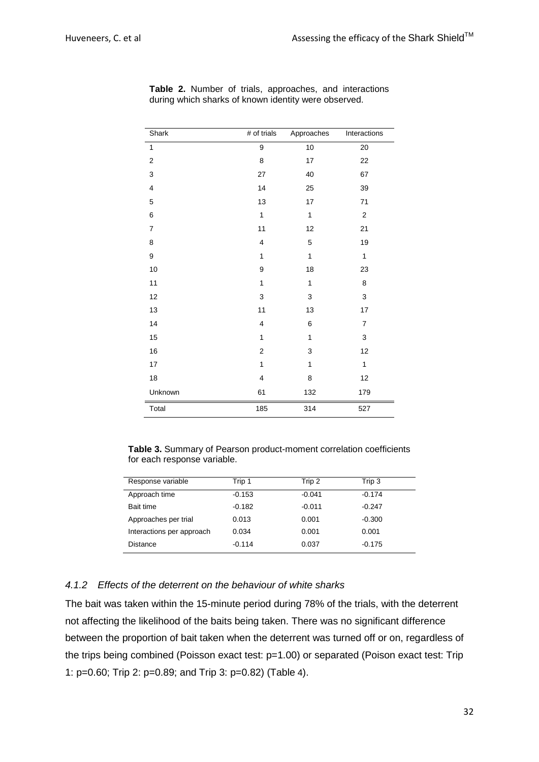| Shark                   | # of trials  | Approaches   | Interactions     |
|-------------------------|--------------|--------------|------------------|
| $\mathbf{1}$            | 9            | 10           | $20\,$           |
| $\boldsymbol{2}$        | 8            | 17           | 22               |
| $\mathsf 3$             | 27           | 40           | 67               |
| $\overline{\mathbf{4}}$ | 14           | 25           | 39               |
| $\mathbf 5$             | 13           | $17\,$       | 71               |
| 6                       | 1            | $\mathbf{1}$ | $\boldsymbol{2}$ |
| $\boldsymbol{7}$        | 11           | 12           | 21               |
| 8                       | 4            | $\mathbf 5$  | 19               |
| 9                       | $\mathbf{1}$ | $\mathbf{1}$ | $\mathbf{1}$     |
| $10$                    | 9            | 18           | 23               |
| 11                      | 1            | $\mathbf{1}$ | 8                |
| 12                      | 3            | 3            | 3                |
| 13                      | 11           | 13           | 17               |
| 14                      | 4            | 6            | $\overline{7}$   |
| 15                      | $\mathbf{1}$ | 1            | 3                |
| $16\,$                  | 2            | 3            | 12               |
| $17\,$                  | $\mathbf{1}$ | $\mathbf{1}$ | $\mathbf{1}$     |
| $18\,$                  | 4            | 8            | 12               |
| Unknown                 | 61           | 132          | 179              |
| Total                   | 185          | 314          | 527              |

<span id="page-31-1"></span>**Table 2.** Number of trials, approaches, and interactions during which sharks of known identity were observed.

<span id="page-31-2"></span>**Table 3.** Summary of Pearson product-moment correlation coefficients for each response variable.

| Response variable         | Trip 1   | Trip 2   | Trip 3   |
|---------------------------|----------|----------|----------|
| Approach time             | $-0.153$ | $-0.041$ | $-0.174$ |
| Bait time                 | $-0.182$ | $-0.011$ | $-0.247$ |
| Approaches per trial      | 0.013    | 0.001    | $-0.300$ |
| Interactions per approach | 0.034    | 0.001    | 0.001    |
| Distance                  | $-0.114$ | 0.037    | $-0.175$ |

#### <span id="page-31-0"></span>*4.1.2 Effects of the deterrent on the behaviour of white sharks*

The bait was taken within the 15-minute period during 78% of the trials, with the deterrent not affecting the likelihood of the baits being taken. There was no significant difference between the proportion of bait taken when the deterrent was turned off or on, regardless of the trips being combined (Poisson exact test: p=1.00) or separated (Poison exact test: Trip 1: p=0.60; Trip 2: p=0.89; and Trip 3: p=0.82) [\(Table](#page-32-1) 4).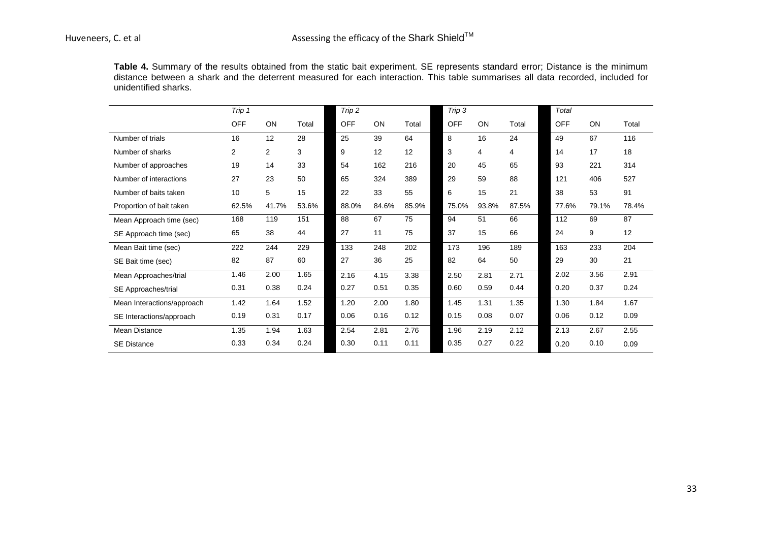**Table 4.** Summary of the results obtained from the static bait experiment. SE represents standard error; Distance is the minimum distance between a shark and the deterrent measured for each interaction. This table summarises all data recorded, included for unidentified sharks.

<span id="page-32-1"></span><span id="page-32-0"></span>

|                            | Trip 1     |                |       | Trip 2     |       |       | Trip 3     |       |       | Total      |       |       |
|----------------------------|------------|----------------|-------|------------|-------|-------|------------|-------|-------|------------|-------|-------|
|                            | <b>OFF</b> | ON             | Total | <b>OFF</b> | ON    | Total | <b>OFF</b> | ON    | Total | <b>OFF</b> | ON    | Total |
| Number of trials           | 16         | 12             | 28    | 25         | 39    | 64    | 8          | 16    | 24    | 49         | 67    | 116   |
| Number of sharks           | 2          | $\overline{2}$ | 3     | 9          | 12    | 12    | 3          | 4     | 4     | 14         | 17    | 18    |
| Number of approaches       | 19         | 14             | 33    | 54         | 162   | 216   | 20         | 45    | 65    | 93         | 221   | 314   |
| Number of interactions     | 27         | 23             | 50    | 65         | 324   | 389   | 29         | 59    | 88    | 121        | 406   | 527   |
| Number of baits taken      | 10         | 5              | 15    | 22         | 33    | 55    | 6          | 15    | 21    | 38         | 53    | 91    |
| Proportion of bait taken   | 62.5%      | 41.7%          | 53.6% | 88.0%      | 84.6% | 85.9% | 75.0%      | 93.8% | 87.5% | 77.6%      | 79.1% | 78.4% |
| Mean Approach time (sec)   | 168        | 119            | 151   | 88         | 67    | 75    | 94         | 51    | 66    | 112        | 69    | 87    |
| SE Approach time (sec)     | 65         | 38             | 44    | 27         | 11    | 75    | 37         | 15    | 66    | 24         | 9     | 12    |
| Mean Bait time (sec)       | 222        | 244            | 229   | 133        | 248   | 202   | 173        | 196   | 189   | 163        | 233   | 204   |
| SE Bait time (sec)         | 82         | 87             | 60    | 27         | 36    | 25    | 82         | 64    | 50    | 29         | 30    | 21    |
| Mean Approaches/trial      | 1.46       | 2.00           | 1.65  | 2.16       | 4.15  | 3.38  | 2.50       | 2.81  | 2.71  | 2.02       | 3.56  | 2.91  |
| SE Approaches/trial        | 0.31       | 0.38           | 0.24  | 0.27       | 0.51  | 0.35  | 0.60       | 0.59  | 0.44  | 0.20       | 0.37  | 0.24  |
| Mean Interactions/approach | 1.42       | 1.64           | 1.52  | 1.20       | 2.00  | 1.80  | 1.45       | 1.31  | 1.35  | 1.30       | 1.84  | 1.67  |
| SE Interactions/approach   | 0.19       | 0.31           | 0.17  | 0.06       | 0.16  | 0.12  | 0.15       | 0.08  | 0.07  | 0.06       | 0.12  | 0.09  |
| <b>Mean Distance</b>       | 1.35       | 1.94           | 1.63  | 2.54       | 2.81  | 2.76  | 1.96       | 2.19  | 2.12  | 2.13       | 2.67  | 2.55  |
| <b>SE Distance</b>         | 0.33       | 0.34           | 0.24  | 0.30       | 0.11  | 0.11  | 0.35       | 0.27  | 0.22  | 0.20       | 0.10  | 0.09  |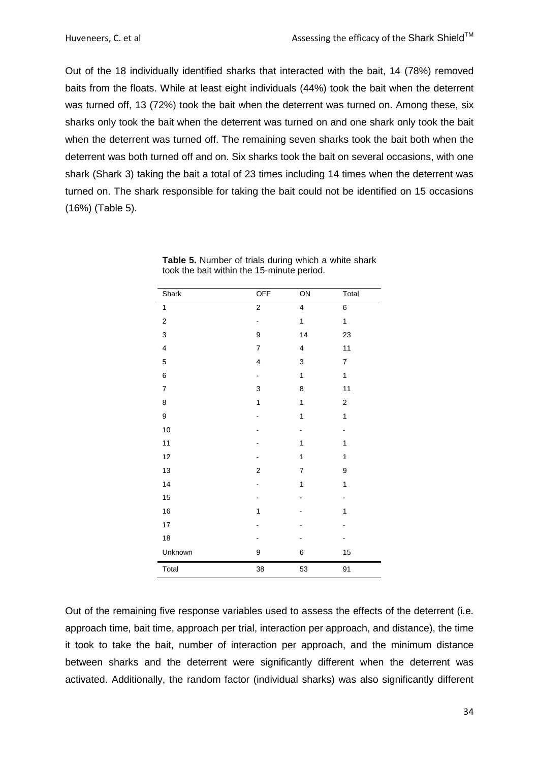Out of the 18 individually identified sharks that interacted with the bait, 14 (78%) removed baits from the floats. While at least eight individuals (44%) took the bait when the deterrent was turned off, 13 (72%) took the bait when the deterrent was turned on. Among these, six sharks only took the bait when the deterrent was turned on and one shark only took the bait when the deterrent was turned off. The remaining seven sharks took the bait both when the deterrent was both turned off and on. Six sharks took the bait on several occasions, with one shark (Shark 3) taking the bait a total of 23 times including 14 times when the deterrent was turned on. The shark responsible for taking the bait could not be identified on 15 occasions (16%) [\(Table 5\)](#page-33-0).

<span id="page-33-0"></span>**Table 5.** Number of trials during which a white shark took the bait within the 15-minute period.

Out of the remaining five response variables used to assess the effects of the deterrent (i.e. approach time, bait time, approach per trial, interaction per approach, and distance), the time it took to take the bait, number of interaction per approach, and the minimum distance between sharks and the deterrent were significantly different when the deterrent was activated. Additionally, the random factor (individual sharks) was also significantly different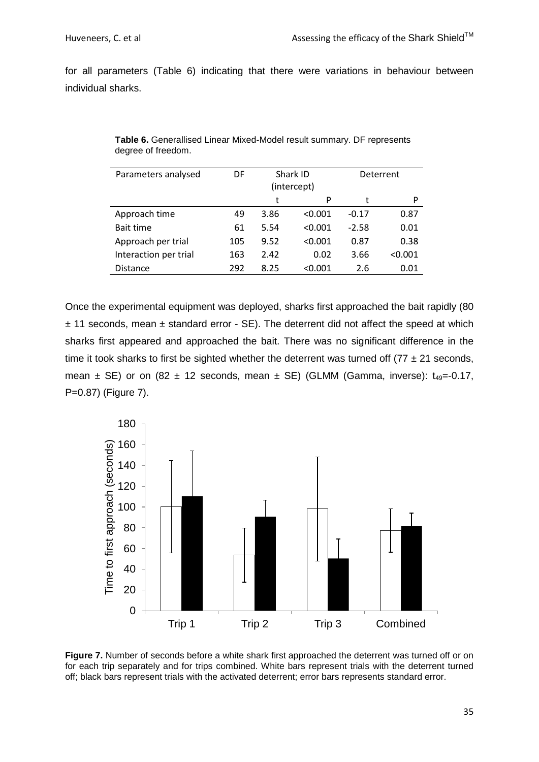for all parameters [\(Table 6\)](#page-34-0) indicating that there were variations in behaviour between individual sharks.

| Parameters analysed   | DF  | Shark ID |             | Deterrent |         |  |
|-----------------------|-----|----------|-------------|-----------|---------|--|
|                       |     |          | (intercept) |           |         |  |
|                       |     | t        | P           | t         | P       |  |
| Approach time         | 49  | 3.86     | < 0.001     | $-0.17$   | 0.87    |  |
| <b>Bait time</b>      | 61  | 5.54     | < 0.001     | $-2.58$   | 0.01    |  |
| Approach per trial    | 105 | 9.52     | < 0.001     | 0.87      | 0.38    |  |
| Interaction per trial | 163 | 2.42     | 0.02        | 3.66      | < 0.001 |  |
| <b>Distance</b>       | 292 | 8.25     | < 0.001     | 2.6       | 0.01    |  |
|                       |     |          |             |           |         |  |

<span id="page-34-0"></span>**Table 6.** Generallised Linear Mixed-Model result summary. DF represents degree of freedom.

Once the experimental equipment was deployed, sharks first approached the bait rapidly (80  $± 11$  seconds, mean  $±$  standard error  $-$  SE). The deterrent did not affect the speed at which sharks first appeared and approached the bait. There was no significant difference in the time it took sharks to first be sighted whether the deterrent was turned off  $(77 \pm 21 \text{ seconds},$ mean  $\pm$  SE) or on (82  $\pm$  12 seconds, mean  $\pm$  SE) (GLMM (Gamma, inverse):  $t_{49}$ =-0.17, P=0.87) [\(Figure 7\)](#page-34-1).



<span id="page-34-1"></span>**Figure 7.** Number of seconds before a white shark first approached the deterrent was turned off or on for each trip separately and for trips combined. White bars represent trials with the deterrent turned off; black bars represent trials with the activated deterrent; error bars represents standard error.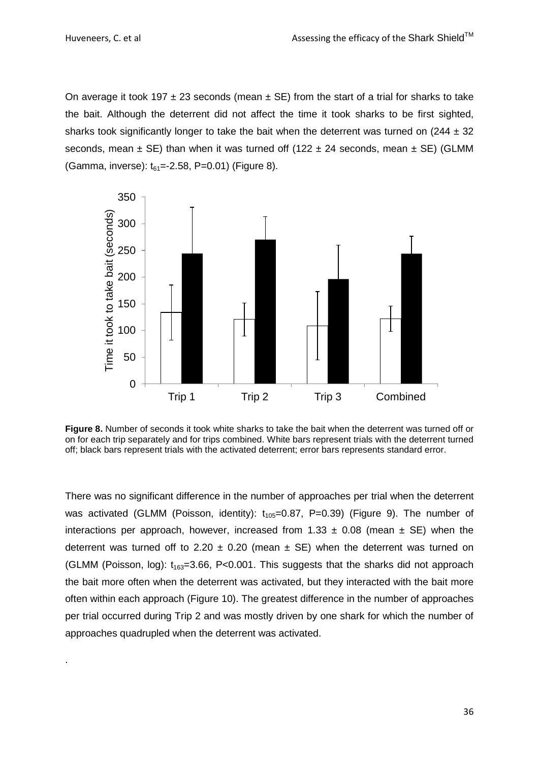.

On average it took 197  $\pm$  23 seconds (mean  $\pm$  SE) from the start of a trial for sharks to take the bait. Although the deterrent did not affect the time it took sharks to be first sighted, sharks took significantly longer to take the bait when the deterrent was turned on  $(244 \pm 32)$ seconds, mean  $\pm$  SE) than when it was turned off (122  $\pm$  24 seconds, mean  $\pm$  SE) (GLMM (Gamma, inverse):  $t_{61} = -2.58$ , P=0.01) [\(Figure 8\)](#page-35-0).



<span id="page-35-0"></span>**Figure 8.** Number of seconds it took white sharks to take the bait when the deterrent was turned off or on for each trip separately and for trips combined. White bars represent trials with the deterrent turned off; black bars represent trials with the activated deterrent; error bars represents standard error.

There was no significant difference in the number of approaches per trial when the deterrent was activated (GLMM (Poisson, identity):  $t_{105}=0.87$ , P=0.39) [\(Figure 9\)](#page-36-0). The number of interactions per approach, however, increased from  $1.33 \pm 0.08$  (mean  $\pm$  SE) when the deterrent was turned off to 2.20  $\pm$  0.20 (mean  $\pm$  SE) when the deterrent was turned on (GLMM (Poisson, log):  $t_{163}=3.66$ , P<0.001. This suggests that the sharks did not approach the bait more often when the deterrent was activated, but they interacted with the bait more often within each approach [\(Figure 10\)](#page-36-1). The greatest difference in the number of approaches per trial occurred during Trip 2 and was mostly driven by one shark for which the number of approaches quadrupled when the deterrent was activated.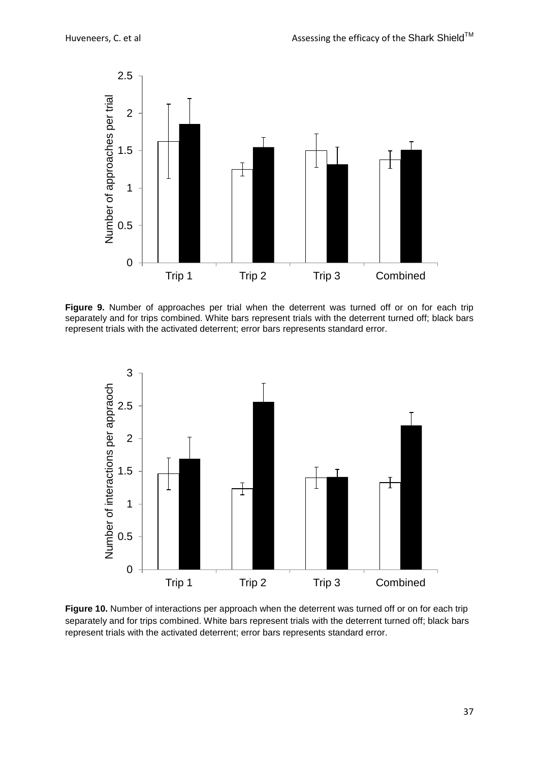

<span id="page-36-0"></span>**Figure 9.** Number of approaches per trial when the deterrent was turned off or on for each trip separately and for trips combined. White bars represent trials with the deterrent turned off; black bars represent trials with the activated deterrent; error bars represents standard error.



<span id="page-36-1"></span>**Figure 10.** Number of interactions per approach when the deterrent was turned off or on for each trip separately and for trips combined. White bars represent trials with the deterrent turned off; black bars represent trials with the activated deterrent; error bars represents standard error.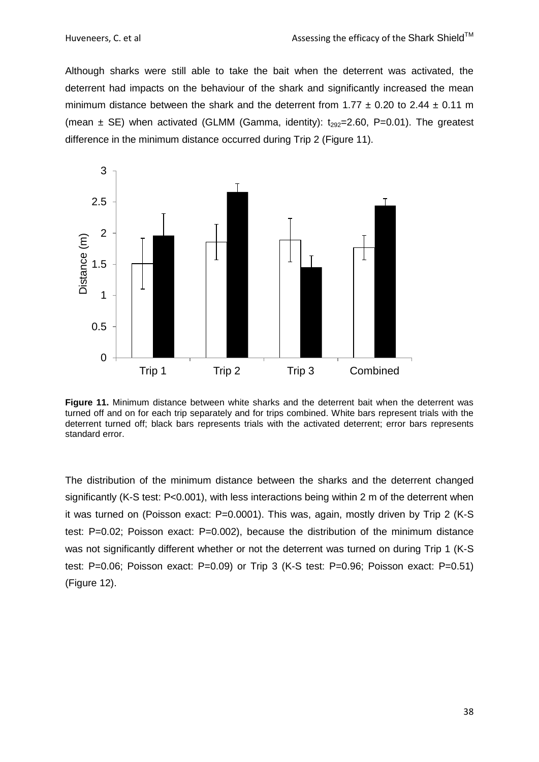Although sharks were still able to take the bait when the deterrent was activated, the deterrent had impacts on the behaviour of the shark and significantly increased the mean minimum distance between the shark and the deterrent from  $1.77 \pm 0.20$  to  $2.44 \pm 0.11$  m (mean  $\pm$  SE) when activated (GLMM (Gamma, identity):  $t_{292}=2.60$ , P=0.01). The greatest difference in the minimum distance occurred during Trip 2 [\(Figure 11\)](#page-37-0).



<span id="page-37-0"></span>**Figure 11.** Minimum distance between white sharks and the deterrent bait when the deterrent was turned off and on for each trip separately and for trips combined. White bars represent trials with the deterrent turned off; black bars represents trials with the activated deterrent; error bars represents standard error.

The distribution of the minimum distance between the sharks and the deterrent changed significantly (K-S test: P<0.001), with less interactions being within 2 m of the deterrent when it was turned on (Poisson exact: P=0.0001). This was, again, mostly driven by Trip 2 (K-S test: P=0.02; Poisson exact: P=0.002), because the distribution of the minimum distance was not significantly different whether or not the deterrent was turned on during Trip 1 (K-S test: P=0.06; Poisson exact: P=0.09) or Trip 3 (K-S test: P=0.96; Poisson exact: P=0.51) [\(Figure 12\)](#page-38-0).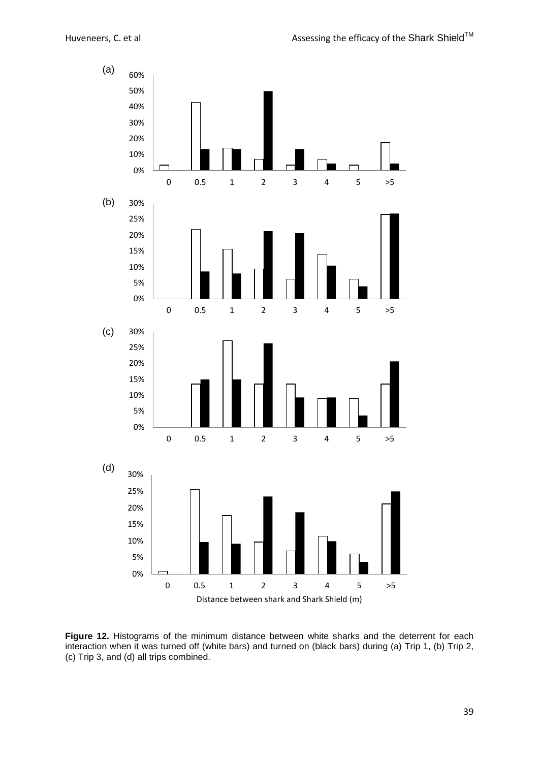

<span id="page-38-0"></span>Figure 12. Histograms of the minimum distance between white sharks and the deterrent for each interaction when it was turned off (white bars) and turned on (black bars) during (a) Trip 1, (b) Trip 2, (c) Trip 3, and (d) all trips combined.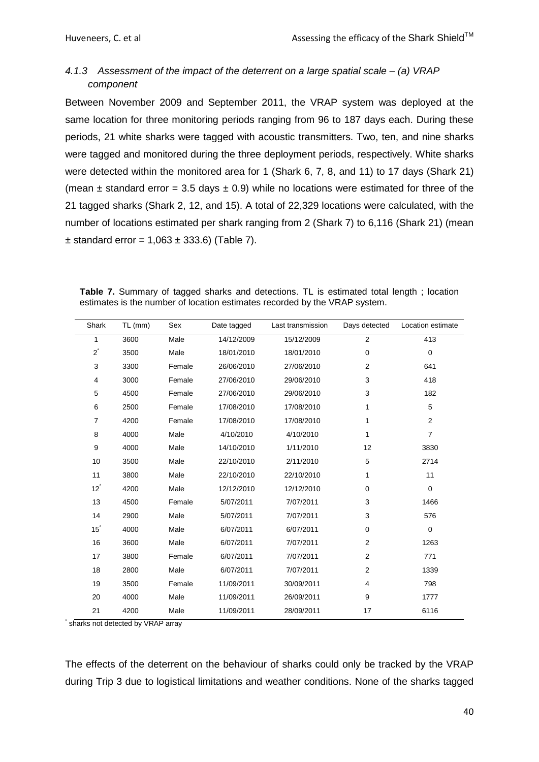# <span id="page-39-0"></span>*4.1.3 Assessment of the impact of the deterrent on a large spatial scale – (a) VRAP component*

Between November 2009 and September 2011, the VRAP system was deployed at the same location for three monitoring periods ranging from 96 to 187 days each. During these periods, 21 white sharks were tagged with acoustic transmitters. Two, ten, and nine sharks were tagged and monitored during the three deployment periods, respectively. White sharks were detected within the monitored area for 1 (Shark 6, 7, 8, and 11) to 17 days (Shark 21) (mean  $\pm$  standard error = 3.5 days  $\pm$  0.9) while no locations were estimated for three of the 21 tagged sharks (Shark 2, 12, and 15). A total of 22,329 locations were calculated, with the number of locations estimated per shark ranging from 2 (Shark 7) to 6,116 (Shark 21) (mean  $±$  standard error = 1,063  $±$  333.6) [\(Table 7\)](#page-39-1).

<span id="page-39-1"></span>

|  |  |  | Table 7. Summary of tagged sharks and detections. TL is estimated total length; location |  |  |  |  |
|--|--|--|------------------------------------------------------------------------------------------|--|--|--|--|
|  |  |  | estimates is the number of location estimates recorded by the VRAP system.               |  |  |  |  |

| Shark          | $TL$ (mm) | Sex    | Date tagged | Last transmission | Days detected  | Location estimate |
|----------------|-----------|--------|-------------|-------------------|----------------|-------------------|
| 1              | 3600      | Male   | 14/12/2009  | 15/12/2009        | $\overline{2}$ | 413               |
| $2^{\degree}$  | 3500      | Male   | 18/01/2010  | 18/01/2010        | $\mathbf 0$    | $\mathbf 0$       |
| 3              | 3300      | Female | 26/06/2010  | 27/06/2010        | $\overline{2}$ | 641               |
| 4              | 3000      | Female | 27/06/2010  | 29/06/2010        | 3              | 418               |
| 5              | 4500      | Female | 27/06/2010  | 29/06/2010        | 3              | 182               |
| 6              | 2500      | Female | 17/08/2010  | 17/08/2010        | 1              | 5                 |
| $\overline{7}$ | 4200      | Female | 17/08/2010  | 17/08/2010        | 1              | $\overline{2}$    |
| 8              | 4000      | Male   | 4/10/2010   | 4/10/2010         | 1              | $\overline{7}$    |
| 9              | 4000      | Male   | 14/10/2010  | 1/11/2010         | 12             | 3830              |
| 10             | 3500      | Male   | 22/10/2010  | 2/11/2010         | 5              | 2714              |
| 11             | 3800      | Male   | 22/10/2010  | 22/10/2010        | 1              | 11                |
| $12^{\degree}$ | 4200      | Male   | 12/12/2010  | 12/12/2010        | $\mathbf 0$    | $\pmb{0}$         |
| 13             | 4500      | Female | 5/07/2011   | 7/07/2011         | 3              | 1466              |
| 14             | 2900      | Male   | 5/07/2011   | 7/07/2011         | 3              | 576               |
| $15^{\degree}$ | 4000      | Male   | 6/07/2011   | 6/07/2011         | $\mathbf 0$    | $\mathbf 0$       |
| 16             | 3600      | Male   | 6/07/2011   | 7/07/2011         | $\overline{2}$ | 1263              |
| 17             | 3800      | Female | 6/07/2011   | 7/07/2011         | $\overline{2}$ | 771               |
| 18             | 2800      | Male   | 6/07/2011   | 7/07/2011         | $\overline{2}$ | 1339              |
| 19             | 3500      | Female | 11/09/2011  | 30/09/2011        | 4              | 798               |
| 20             | 4000      | Male   | 11/09/2011  | 26/09/2011        | 9              | 1777              |
| 21             | 4200      | Male   | 11/09/2011  | 28/09/2011        | 17             | 6116              |

\* sharks not detected by VRAP array

The effects of the deterrent on the behaviour of sharks could only be tracked by the VRAP during Trip 3 due to logistical limitations and weather conditions. None of the sharks tagged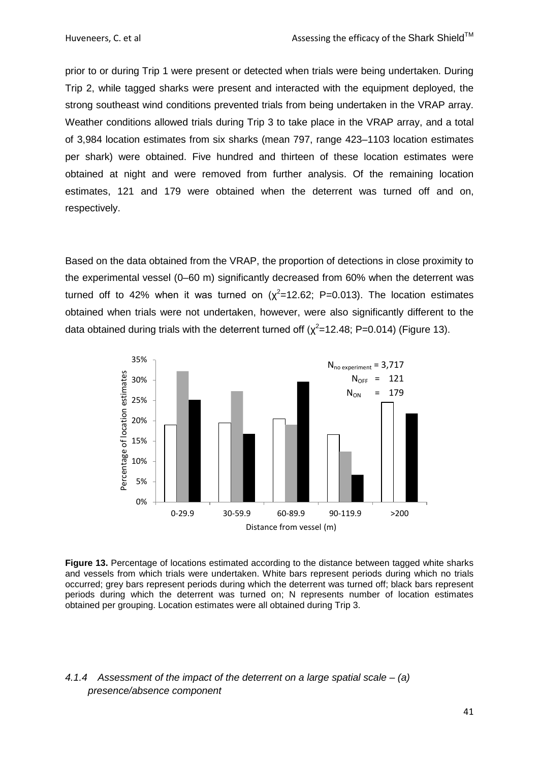prior to or during Trip 1 were present or detected when trials were being undertaken. During Trip 2, while tagged sharks were present and interacted with the equipment deployed, the strong southeast wind conditions prevented trials from being undertaken in the VRAP array. Weather conditions allowed trials during Trip 3 to take place in the VRAP array, and a total of 3,984 location estimates from six sharks (mean 797, range 423–1103 location estimates per shark) were obtained. Five hundred and thirteen of these location estimates were obtained at night and were removed from further analysis. Of the remaining location estimates, 121 and 179 were obtained when the deterrent was turned off and on, respectively.

Based on the data obtained from the VRAP, the proportion of detections in close proximity to the experimental vessel (0–60 m) significantly decreased from 60% when the deterrent was turned off to 42% when it was turned on  $(\chi^2=12.62; P=0.013)$ . The location estimates obtained when trials were not undertaken, however, were also significantly different to the data obtained during trials with the deterrent turned off  $(\chi^2=12.48; P=0.014)$  [\(Figure 13\)](#page-40-1).



<span id="page-40-1"></span>**Figure 13.** Percentage of locations estimated according to the distance between tagged white sharks and vessels from which trials were undertaken. White bars represent periods during which no trials occurred; grey bars represent periods during which the deterrent was turned off; black bars represent periods during which the deterrent was turned on; N represents number of location estimates obtained per grouping. Location estimates were all obtained during Trip 3.

# <span id="page-40-0"></span>*4.1.4 Assessment of the impact of the deterrent on a large spatial scale – (a) presence/absence component*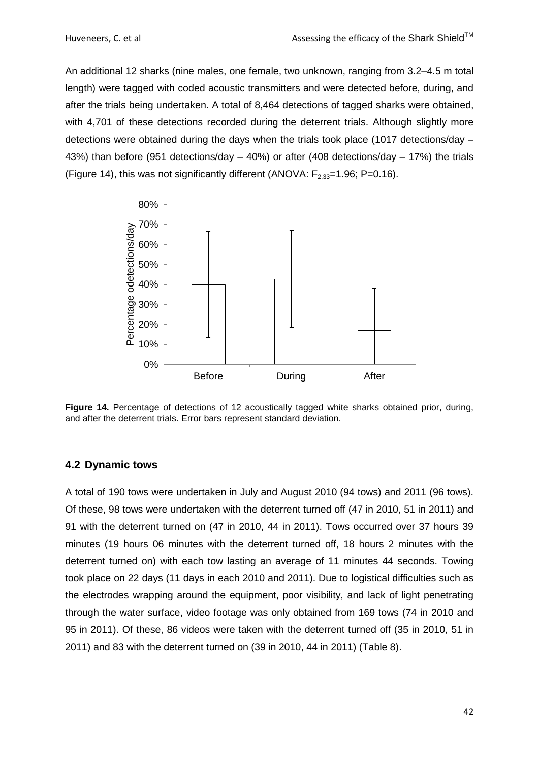An additional 12 sharks (nine males, one female, two unknown, ranging from 3.2–4.5 m total length) were tagged with coded acoustic transmitters and were detected before, during, and after the trials being undertaken. A total of 8,464 detections of tagged sharks were obtained, with 4,701 of these detections recorded during the deterrent trials. Although slightly more detections were obtained during the days when the trials took place (1017 detections/day – 43%) than before (951 detections/day – 40%) or after (408 detections/day – 17%) the trials [\(Figure 14\)](#page-41-1), this was not significantly different (ANOVA:  $F_{2,33}=1.96$ ; P=0.16).



<span id="page-41-1"></span>**Figure 14.** Percentage of detections of 12 acoustically tagged white sharks obtained prior, during, and after the deterrent trials. Error bars represent standard deviation.

### <span id="page-41-0"></span>**4.2 Dynamic tows**

A total of 190 tows were undertaken in July and August 2010 (94 tows) and 2011 (96 tows). Of these, 98 tows were undertaken with the deterrent turned off (47 in 2010, 51 in 2011) and 91 with the deterrent turned on (47 in 2010, 44 in 2011). Tows occurred over 37 hours 39 minutes (19 hours 06 minutes with the deterrent turned off, 18 hours 2 minutes with the deterrent turned on) with each tow lasting an average of 11 minutes 44 seconds. Towing took place on 22 days (11 days in each 2010 and 2011). Due to logistical difficulties such as the electrodes wrapping around the equipment, poor visibility, and lack of light penetrating through the water surface, video footage was only obtained from 169 tows (74 in 2010 and 95 in 2011). Of these, 86 videos were taken with the deterrent turned off (35 in 2010, 51 in 2011) and 83 with the deterrent turned on (39 in 2010, 44 in 2011) (Table 8).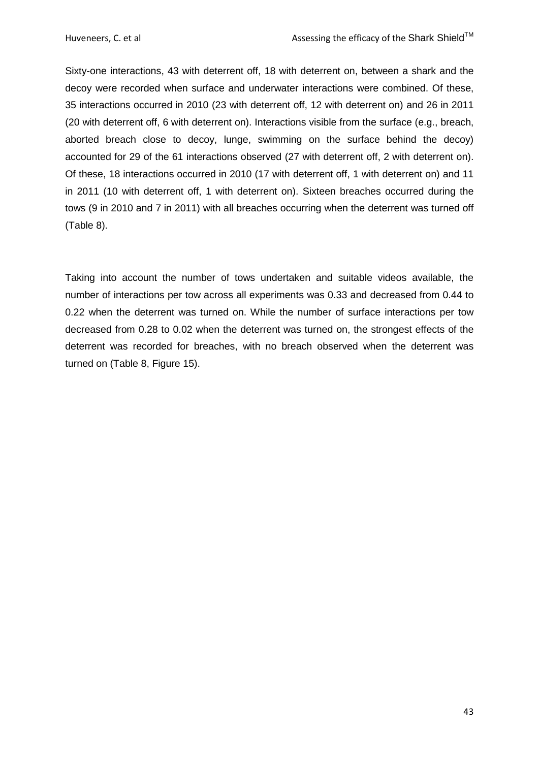Sixty-one interactions, 43 with deterrent off, 18 with deterrent on, between a shark and the decoy were recorded when surface and underwater interactions were combined. Of these, 35 interactions occurred in 2010 (23 with deterrent off, 12 with deterrent on) and 26 in 2011 (20 with deterrent off, 6 with deterrent on). Interactions visible from the surface (e.g., breach, aborted breach close to decoy, lunge, swimming on the surface behind the decoy) accounted for 29 of the 61 interactions observed (27 with deterrent off, 2 with deterrent on). Of these, 18 interactions occurred in 2010 (17 with deterrent off, 1 with deterrent on) and 11 in 2011 (10 with deterrent off, 1 with deterrent on). Sixteen breaches occurred during the tows (9 in 2010 and 7 in 2011) with all breaches occurring when the deterrent was turned off (Table 8).

Taking into account the number of tows undertaken and suitable videos available, the number of interactions per tow across all experiments was 0.33 and decreased from 0.44 to 0.22 when the deterrent was turned on. While the number of surface interactions per tow decreased from 0.28 to 0.02 when the deterrent was turned on, the strongest effects of the deterrent was recorded for breaches, with no breach observed when the deterrent was turned on (Table 8, Figure 15).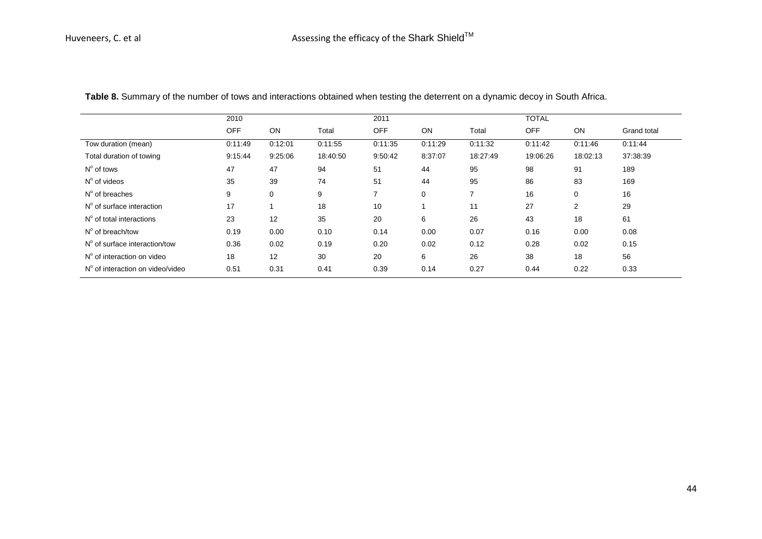<span id="page-43-0"></span>

| 2010       |         |          | 2011           |         |          |            | <b>TOTAL</b> |             |  |
|------------|---------|----------|----------------|---------|----------|------------|--------------|-------------|--|
| <b>OFF</b> | ON      | Total    | <b>OFF</b>     | ON      | Total    | <b>OFF</b> | ON           | Grand total |  |
| 0:11:49    | 0:12:01 | 0:11:55  | 0:11:35        | 0:11:29 | 0:11:32  | 0:11:42    | 0:11:46      | 0:11:44     |  |
| 9:15:44    | 9:25:06 | 18:40:50 | 9:50:42        | 8:37:07 | 18:27:49 | 19:06:26   | 18:02:13     | 37:38:39    |  |
| 47         | 47      | 94       | 51             | 44      | 95       | 98         | 91           | 189         |  |
| 35         | 39      | 74       | 51             | 44      | 95       | 86         | 83           | 169         |  |
| 9          | 0       | 9        | $\overline{7}$ | 0       | 7        | 16         | 0            | 16          |  |
| 17         |         | 18       | 10             |         | 11       | 27         | 2            | 29          |  |
| 23         | 12      | 35       | 20             | 6       | 26       | 43         | 18           | 61          |  |
| 0.19       | 0.00    | 0.10     | 0.14           | 0.00    | 0.07     | 0.16       | 0.00         | 0.08        |  |
| 0.36       | 0.02    | 0.19     | 0.20           | 0.02    | 0.12     | 0.28       | 0.02         | 0.15        |  |
| 18         | 12      | 30       | 20             | 6       | 26       | 38         | 18           | 56          |  |
| 0.51       | 0.31    | 0.41     | 0.39           | 0.14    | 0.27     | 0.44       | 0.22         | 0.33        |  |
|            |         |          |                |         |          |            |              |             |  |

**Table 8.** Summary of the number of tows and interactions obtained when testing the deterrent on a dynamic decoy in South Africa.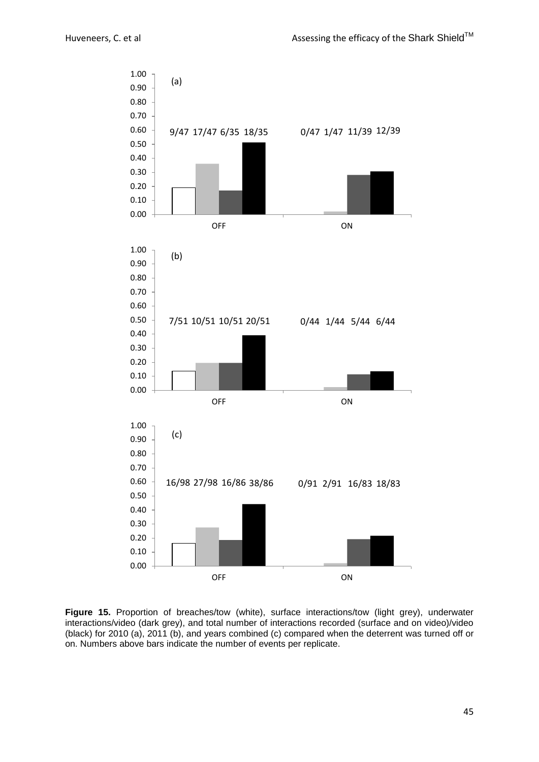

<span id="page-44-0"></span>**Figure 15.** Proportion of breaches/tow (white), surface interactions/tow (light grey), underwater interactions/video (dark grey), and total number of interactions recorded (surface and on video)/video (black) for 2010 (a), 2011 (b), and years combined (c) compared when the deterrent was turned off or on. Numbers above bars indicate the number of events per replicate.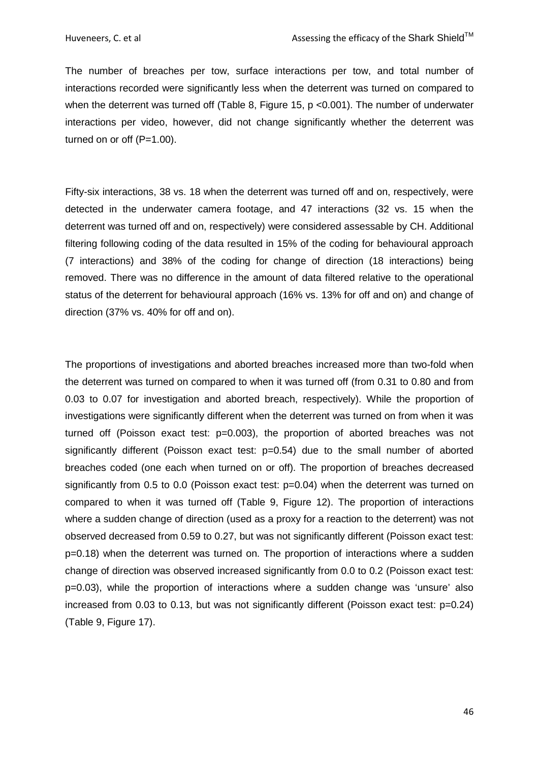The number of breaches per tow, surface interactions per tow, and total number of interactions recorded were significantly less when the deterrent was turned on compared to when the deterrent was turned off (Table 8, Figure 15, p <0.001). The number of underwater interactions per video, however, did not change significantly whether the deterrent was turned on or off (P=1.00).

Fifty-six interactions, 38 vs. 18 when the deterrent was turned off and on, respectively, were detected in the underwater camera footage, and 47 interactions (32 vs. 15 when the deterrent was turned off and on, respectively) were considered assessable by CH. Additional filtering following coding of the data resulted in 15% of the coding for behavioural approach (7 interactions) and 38% of the coding for change of direction (18 interactions) being removed. There was no difference in the amount of data filtered relative to the operational status of the deterrent for behavioural approach (16% vs. 13% for off and on) and change of direction (37% vs. 40% for off and on).

The proportions of investigations and aborted breaches increased more than two-fold when the deterrent was turned on compared to when it was turned off (from 0.31 to 0.80 and from 0.03 to 0.07 for investigation and aborted breach, respectively). While the proportion of investigations were significantly different when the deterrent was turned on from when it was turned off (Poisson exact test: p=0.003), the proportion of aborted breaches was not significantly different (Poisson exact test: p=0.54) due to the small number of aborted breaches coded (one each when turned on or off). The proportion of breaches decreased significantly from 0.5 to 0.0 (Poisson exact test: p=0.04) when the deterrent was turned on compared to when it was turned off (Table 9, [Figure 12\)](#page-38-0). The proportion of interactions where a sudden change of direction (used as a proxy for a reaction to the deterrent) was not observed decreased from 0.59 to 0.27, but was not significantly different (Poisson exact test: p=0.18) when the deterrent was turned on. The proportion of interactions where a sudden change of direction was observed increased significantly from 0.0 to 0.2 (Poisson exact test: p=0.03), while the proportion of interactions where a sudden change was 'unsure' also increased from 0.03 to 0.13, but was not significantly different (Poisson exact test: p=0.24) (Table 9, Figure 17).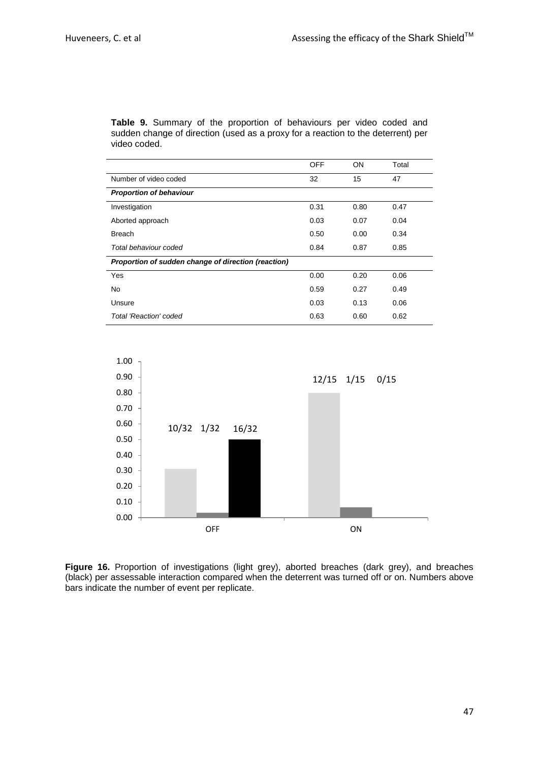<span id="page-46-0"></span>**Table 9.** Summary of the proportion of behaviours per video coded and sudden change of direction (used as a proxy for a reaction to the deterrent) per video coded.

|                                                     | <b>OFF</b> | <b>ON</b> | Total |
|-----------------------------------------------------|------------|-----------|-------|
| Number of video coded                               | 32         | 15        | 47    |
| <b>Proportion of behaviour</b>                      |            |           |       |
| Investigation                                       | 0.31       | 0.80      | 0.47  |
| Aborted approach                                    | 0.03       | 0.07      | 0.04  |
| <b>Breach</b>                                       | 0.50       | 0.00      | 0.34  |
| Total behaviour coded                               | 0.84       | 0.87      | 0.85  |
| Proportion of sudden change of direction (reaction) |            |           |       |
| Yes                                                 | 0.00       | 0.20      | 0.06  |
| <b>No</b>                                           | 0.59       | 0.27      | 0.49  |
| Unsure                                              | 0.03       | 0.13      | 0.06  |
| Total 'Reaction' coded                              | 0.63       | 0.60      | 0.62  |



<span id="page-46-1"></span>Figure 16. Proportion of investigations (light grey), aborted breaches (dark grey), and breaches (black) per assessable interaction compared when the deterrent was turned off or on. Numbers above bars indicate the number of event per replicate.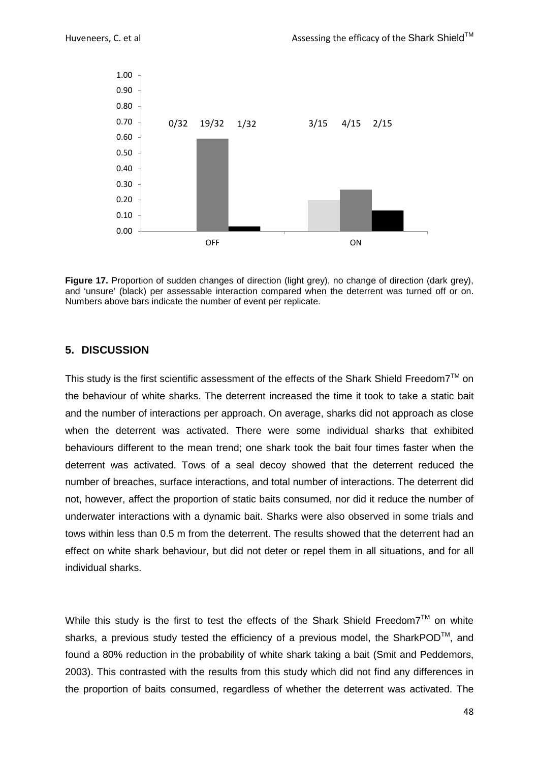

<span id="page-47-1"></span>**Figure 17.** Proportion of sudden changes of direction (light grey), no change of direction (dark grey), and 'unsure' (black) per assessable interaction compared when the deterrent was turned off or on. Numbers above bars indicate the number of event per replicate.

# <span id="page-47-0"></span>**5. DISCUSSION**

This study is the first scientific assessment of the effects of the Shark Shield Freedom7<sup>TM</sup> on the behaviour of white sharks. The deterrent increased the time it took to take a static bait and the number of interactions per approach. On average, sharks did not approach as close when the deterrent was activated. There were some individual sharks that exhibited behaviours different to the mean trend; one shark took the bait four times faster when the deterrent was activated. Tows of a seal decoy showed that the deterrent reduced the number of breaches, surface interactions, and total number of interactions. The deterrent did not, however, affect the proportion of static baits consumed, nor did it reduce the number of underwater interactions with a dynamic bait. Sharks were also observed in some trials and tows within less than 0.5 m from the deterrent. The results showed that the deterrent had an effect on white shark behaviour, but did not deter or repel them in all situations, and for all individual sharks.

While this study is the first to test the effects of the Shark Shield Freedom7<sup>TM</sup> on white sharks, a previous study tested the efficiency of a previous model, the SharkPOD<sup>TM</sup>, and found a 80% reduction in the probability of white shark taking a bait [\(Smit and Peddemors,](#page-59-13)  [2003\)](#page-59-13). This contrasted with the results from this study which did not find any differences in the proportion of baits consumed, regardless of whether the deterrent was activated. The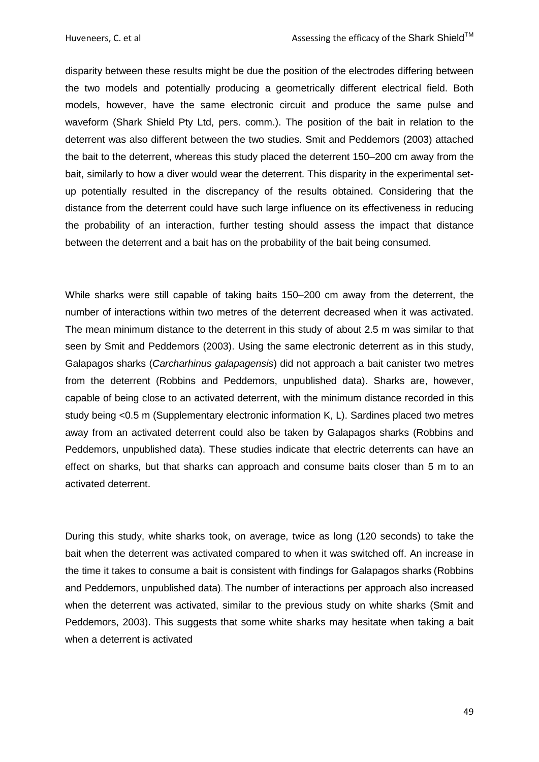disparity between these results might be due the position of the electrodes differing between the two models and potentially producing a geometrically different electrical field. Both models, however, have the same electronic circuit and produce the same pulse and waveform (Shark Shield Pty Ltd, pers. comm.). The position of the bait in relation to the deterrent was also different between the two studies. Smit and Peddemors [\(2003\)](#page-59-13) attached the bait to the deterrent, whereas this study placed the deterrent 150–200 cm away from the bait, similarly to how a diver would wear the deterrent. This disparity in the experimental setup potentially resulted in the discrepancy of the results obtained. Considering that the distance from the deterrent could have such large influence on its effectiveness in reducing the probability of an interaction, further testing should assess the impact that distance between the deterrent and a bait has on the probability of the bait being consumed.

While sharks were still capable of taking baits 150–200 cm away from the deterrent, the number of interactions within two metres of the deterrent decreased when it was activated. The mean minimum distance to the deterrent in this study of about 2.5 m was similar to that seen by Smit and Peddemors [\(2003\)](#page-59-13). Using the same electronic deterrent as in this study, Galapagos sharks (*Carcharhinus galapagensis*) did not approach a bait canister two metres from the deterrent (Robbins and Peddemors, unpublished data). Sharks are, however, capable of being close to an activated deterrent, with the minimum distance recorded in this study being <0.5 m (Supplementary electronic information K, L). Sardines placed two metres away from an activated deterrent could also be taken by Galapagos sharks (Robbins and Peddemors, unpublished data). These studies indicate that electric deterrents can have an effect on sharks, but that sharks can approach and consume baits closer than 5 m to an activated deterrent.

During this study, white sharks took, on average, twice as long (120 seconds) to take the bait when the deterrent was activated compared to when it was switched off. An increase in the time it takes to consume a bait is consistent with findings for Galapagos sharks (Robbins and Peddemors, unpublished data). The number of interactions per approach also increased when the deterrent was activated, similar to the previous study on white sharks (Smit and Peddemors, 2003). This suggests that some white sharks may hesitate when taking a bait when a deterrent is activated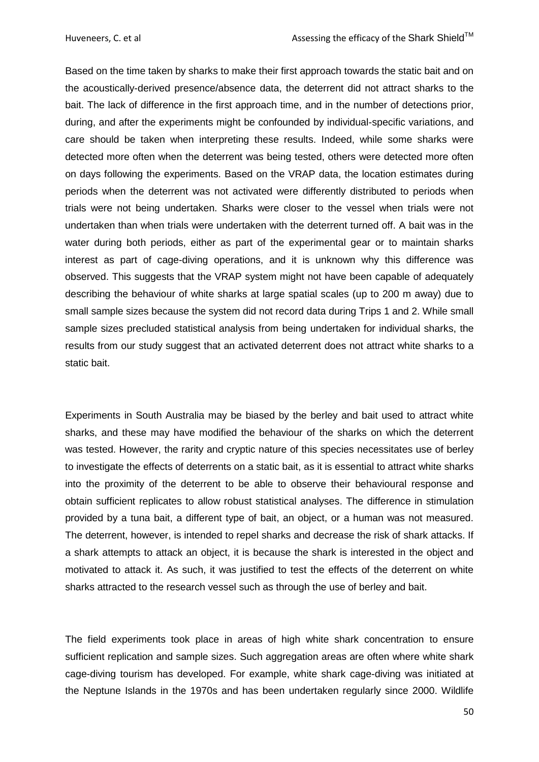Based on the time taken by sharks to make their first approach towards the static bait and on the acoustically-derived presence/absence data, the deterrent did not attract sharks to the bait. The lack of difference in the first approach time, and in the number of detections prior, during, and after the experiments might be confounded by individual-specific variations, and care should be taken when interpreting these results. Indeed, while some sharks were detected more often when the deterrent was being tested, others were detected more often on days following the experiments. Based on the VRAP data, the location estimates during periods when the deterrent was not activated were differently distributed to periods when trials were not being undertaken. Sharks were closer to the vessel when trials were not undertaken than when trials were undertaken with the deterrent turned off. A bait was in the water during both periods, either as part of the experimental gear or to maintain sharks interest as part of cage-diving operations, and it is unknown why this difference was observed. This suggests that the VRAP system might not have been capable of adequately describing the behaviour of white sharks at large spatial scales (up to 200 m away) due to small sample sizes because the system did not record data during Trips 1 and 2. While small sample sizes precluded statistical analysis from being undertaken for individual sharks, the results from our study suggest that an activated deterrent does not attract white sharks to a static bait.

Experiments in South Australia may be biased by the berley and bait used to attract white sharks, and these may have modified the behaviour of the sharks on which the deterrent was tested. However, the rarity and cryptic nature of this species necessitates use of berley to investigate the effects of deterrents on a static bait, as it is essential to attract white sharks into the proximity of the deterrent to be able to observe their behavioural response and obtain sufficient replicates to allow robust statistical analyses. The difference in stimulation provided by a tuna bait, a different type of bait, an object, or a human was not measured. The deterrent, however, is intended to repel sharks and decrease the risk of shark attacks. If a shark attempts to attack an object, it is because the shark is interested in the object and motivated to attack it. As such, it was justified to test the effects of the deterrent on white sharks attracted to the research vessel such as through the use of berley and bait.

The field experiments took place in areas of high white shark concentration to ensure sufficient replication and sample sizes. Such aggregation areas are often where white shark cage-diving tourism has developed. For example, white shark cage-diving was initiated at the Neptune Islands in the 1970s and has been undertaken regularly since 2000. Wildlife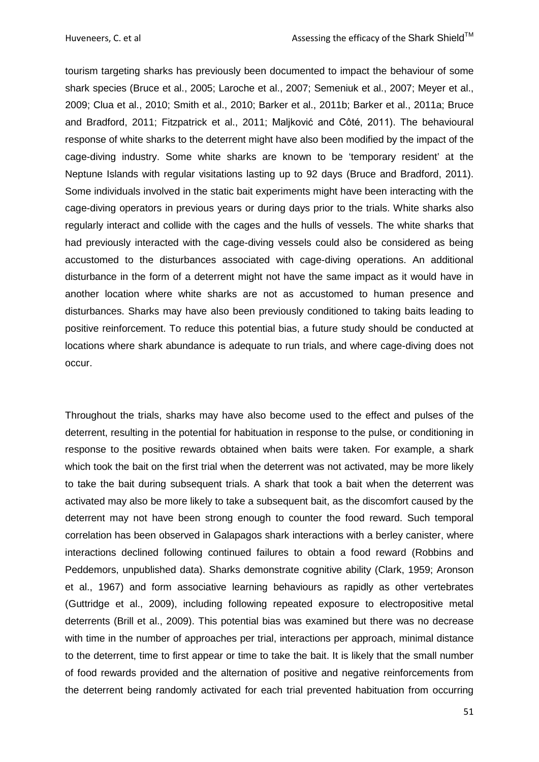tourism targeting sharks has previously been documented to impact the behaviour of some shark species [\(Bruce et al., 2005;](#page-55-11) [Laroche et al., 2007;](#page-58-9) [Semeniuk et al., 2007;](#page-59-14) [Meyer et al.,](#page-58-10)  [2009;](#page-58-10) [Clua et al., 2010;](#page-56-11) [Smith et al., 2010;](#page-59-15) [Barker et al., 2011b;](#page-55-12) [Barker et al., 2011a;](#page-55-13) [Bruce](#page-55-8)  [and Bradford, 2011;](#page-55-8) [Fitzpatrick et al., 2011;](#page-56-12) [Maljković and Côté, 2011](#page-58-11)). The behavioural response of white sharks to the deterrent might have also been modified by the impact of the cage-diving industry. Some white sharks are known to be 'temporary resident' at the Neptune Islands with regular visitations lasting up to 92 days [\(Bruce and Bradford, 2011\)](#page-55-8). Some individuals involved in the static bait experiments might have been interacting with the cage-diving operators in previous years or during days prior to the trials. White sharks also regularly interact and collide with the cages and the hulls of vessels. The white sharks that had previously interacted with the cage-diving vessels could also be considered as being accustomed to the disturbances associated with cage-diving operations. An additional disturbance in the form of a deterrent might not have the same impact as it would have in another location where white sharks are not as accustomed to human presence and disturbances. Sharks may have also been previously conditioned to taking baits leading to positive reinforcement. To reduce this potential bias, a future study should be conducted at locations where shark abundance is adequate to run trials, and where cage-diving does not occur.

Throughout the trials, sharks may have also become used to the effect and pulses of the deterrent, resulting in the potential for habituation in response to the pulse, or conditioning in response to the positive rewards obtained when baits were taken. For example, a shark which took the bait on the first trial when the deterrent was not activated, may be more likely to take the bait during subsequent trials. A shark that took a bait when the deterrent was activated may also be more likely to take a subsequent bait, as the discomfort caused by the deterrent may not have been strong enough to counter the food reward. Such temporal correlation has been observed in Galapagos shark interactions with a berley canister, where interactions declined following continued failures to obtain a food reward (Robbins and Peddemors, unpublished data). Sharks demonstrate cognitive ability [\(Clark, 1959;](#page-56-13) [Aronson](#page-55-14)  [et al., 1967\)](#page-55-14) and form associative learning behaviours as rapidly as other vertebrates [\(Guttridge et al., 2009\)](#page-57-13), including following repeated exposure to electropositive metal deterrents [\(Brill et al., 2009\)](#page-55-6). This potential bias was examined but there was no decrease with time in the number of approaches per trial, interactions per approach, minimal distance to the deterrent, time to first appear or time to take the bait. It is likely that the small number of food rewards provided and the alternation of positive and negative reinforcements from the deterrent being randomly activated for each trial prevented habituation from occurring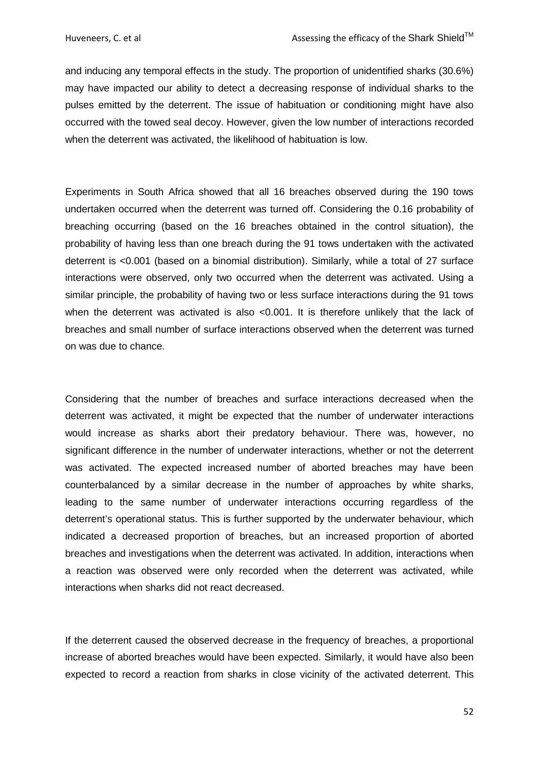and inducing any temporal effects in the study. The proportion of unidentified sharks (30.6%) may have impacted our ability to detect a decreasing response of individual sharks to the pulses emitted by the deterrent. The issue of habituation or conditioning might have also occurred with the towed seal decoy. However, given the low number of interactions recorded when the deterrent was activated, the likelihood of habituation is low.

Experiments in South Africa showed that all 16 breaches observed during the 190 tows undertaken occurred when the deterrent was turned off. Considering the 0.16 probability of breaching occurring (based on the 16 breaches obtained in the control situation), the probability of having less than one breach during the 91 tows undertaken with the activated deterrent is <0.001 (based on a binomial distribution). Similarly, while a total of 27 surface interactions were observed, only two occurred when the deterrent was activated. Using a similar principle, the probability of having two or less surface interactions during the 91 tows when the deterrent was activated is also <0.001. It is therefore unlikely that the lack of breaches and small number of surface interactions observed when the deterrent was turned on was due to chance.

Considering that the number of breaches and surface interactions decreased when the deterrent was activated, it might be expected that the number of underwater interactions would increase as sharks abort their predatory behaviour. There was, however, no significant difference in the number of underwater interactions, whether or not the deterrent was activated. The expected increased number of aborted breaches may have been counterbalanced by a similar decrease in the number of approaches by white sharks, leading to the same number of underwater interactions occurring regardless of the deterrent's operational status. This is further supported by the underwater behaviour, which indicated a decreased proportion of breaches, but an increased proportion of aborted breaches and investigations when the deterrent was activated. In addition, interactions when a reaction was observed were only recorded when the deterrent was activated, while interactions when sharks did not react decreased.

If the deterrent caused the observed decrease in the frequency of breaches, a proportional increase of aborted breaches would have been expected. Similarly, it would have also been expected to record a reaction from sharks in close vicinity of the activated deterrent. This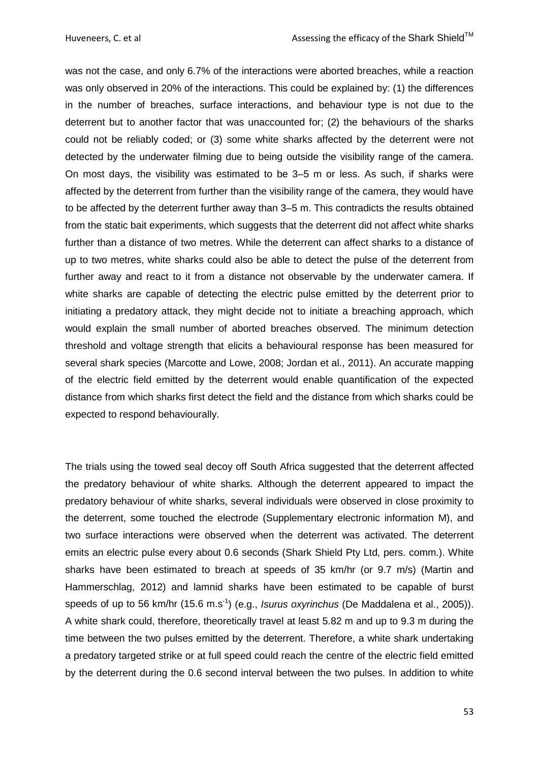was not the case, and only 6.7% of the interactions were aborted breaches, while a reaction was only observed in 20% of the interactions. This could be explained by: (1) the differences in the number of breaches, surface interactions, and behaviour type is not due to the deterrent but to another factor that was unaccounted for; (2) the behaviours of the sharks could not be reliably coded; or (3) some white sharks affected by the deterrent were not detected by the underwater filming due to being outside the visibility range of the camera. On most days, the visibility was estimated to be 3–5 m or less. As such, if sharks were affected by the deterrent from further than the visibility range of the camera, they would have to be affected by the deterrent further away than 3–5 m. This contradicts the results obtained from the static bait experiments, which suggests that the deterrent did not affect white sharks further than a distance of two metres. While the deterrent can affect sharks to a distance of up to two metres, white sharks could also be able to detect the pulse of the deterrent from further away and react to it from a distance not observable by the underwater camera. If white sharks are capable of detecting the electric pulse emitted by the deterrent prior to initiating a predatory attack, they might decide not to initiate a breaching approach, which would explain the small number of aborted breaches observed. The minimum detection threshold and voltage strength that elicits a behavioural response has been measured for several shark species [\(Marcotte and Lowe, 2008;](#page-58-12) [Jordan et al., 2011\)](#page-57-8). An accurate mapping of the electric field emitted by the deterrent would enable quantification of the expected distance from which sharks first detect the field and the distance from which sharks could be expected to respond behaviourally.

The trials using the towed seal decoy off South Africa suggested that the deterrent affected the predatory behaviour of white sharks. Although the deterrent appeared to impact the predatory behaviour of white sharks, several individuals were observed in close proximity to the deterrent, some touched the electrode (Supplementary electronic information M), and two surface interactions were observed when the deterrent was activated. The deterrent emits an electric pulse every about 0.6 seconds (Shark Shield Pty Ltd, pers. comm.). White sharks have been estimated to breach at speeds of 35 km/hr (or 9.7 m/s) [\(Martin and](#page-58-13)  [Hammerschlag, 2012\)](#page-58-13) and lamnid sharks have been estimated to be capable of burst speeds of up to 56 km/hr (15.6 m.s<sup>-1</sup>) (e.g., *Isurus oxyrinchus* [\(De Maddalena et al., 2005\)](#page-56-14)). A white shark could, therefore, theoretically travel at least 5.82 m and up to 9.3 m during the time between the two pulses emitted by the deterrent. Therefore, a white shark undertaking a predatory targeted strike or at full speed could reach the centre of the electric field emitted by the deterrent during the 0.6 second interval between the two pulses. In addition to white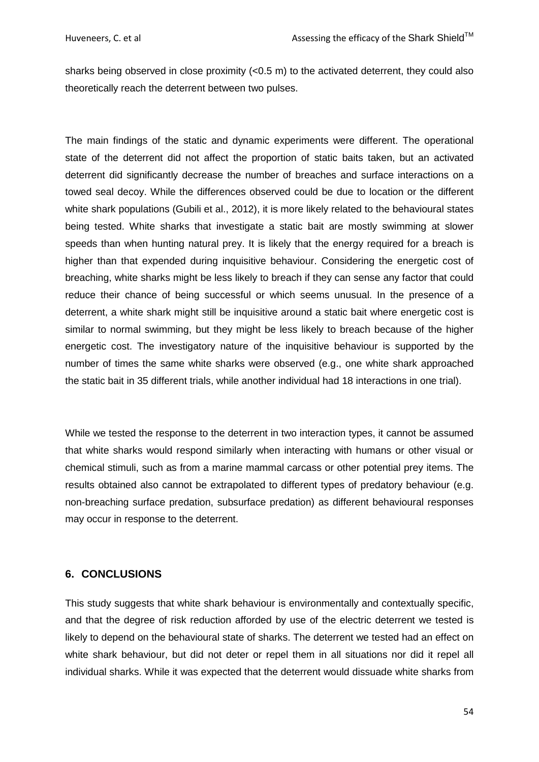sharks being observed in close proximity  $(<0.5$  m) to the activated deterrent, they could also theoretically reach the deterrent between two pulses.

The main findings of the static and dynamic experiments were different. The operational state of the deterrent did not affect the proportion of static baits taken, but an activated deterrent did significantly decrease the number of breaches and surface interactions on a towed seal decoy. While the differences observed could be due to location or the different white shark populations [\(Gubili et al., 2012\)](#page-56-15), it is more likely related to the behavioural states being tested. White sharks that investigate a static bait are mostly swimming at slower speeds than when hunting natural prey. It is likely that the energy required for a breach is higher than that expended during inquisitive behaviour. Considering the energetic cost of breaching, white sharks might be less likely to breach if they can sense any factor that could reduce their chance of being successful or which seems unusual. In the presence of a deterrent, a white shark might still be inquisitive around a static bait where energetic cost is similar to normal swimming, but they might be less likely to breach because of the higher energetic cost. The investigatory nature of the inquisitive behaviour is supported by the number of times the same white sharks were observed (e.g., one white shark approached the static bait in 35 different trials, while another individual had 18 interactions in one trial).

While we tested the response to the deterrent in two interaction types, it cannot be assumed that white sharks would respond similarly when interacting with humans or other visual or chemical stimuli, such as from a marine mammal carcass or other potential prey items. The results obtained also cannot be extrapolated to different types of predatory behaviour (e.g. non-breaching surface predation, subsurface predation) as different behavioural responses may occur in response to the deterrent.

# <span id="page-53-0"></span>**6. CONCLUSIONS**

This study suggests that white shark behaviour is environmentally and contextually specific, and that the degree of risk reduction afforded by use of the electric deterrent we tested is likely to depend on the behavioural state of sharks. The deterrent we tested had an effect on white shark behaviour, but did not deter or repel them in all situations nor did it repel all individual sharks. While it was expected that the deterrent would dissuade white sharks from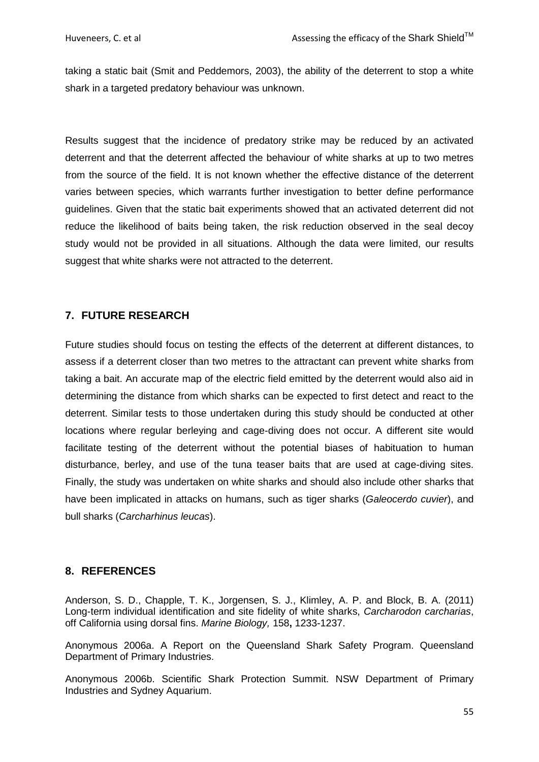taking a static bait [\(Smit and Peddemors, 2003\)](#page-59-13), the ability of the deterrent to stop a white shark in a targeted predatory behaviour was unknown.

Results suggest that the incidence of predatory strike may be reduced by an activated deterrent and that the deterrent affected the behaviour of white sharks at up to two metres from the source of the field. It is not known whether the effective distance of the deterrent varies between species, which warrants further investigation to better define performance guidelines. Given that the static bait experiments showed that an activated deterrent did not reduce the likelihood of baits being taken, the risk reduction observed in the seal decoy study would not be provided in all situations. Although the data were limited, our results suggest that white sharks were not attracted to the deterrent.

# <span id="page-54-0"></span>**7. FUTURE RESEARCH**

Future studies should focus on testing the effects of the deterrent at different distances, to assess if a deterrent closer than two metres to the attractant can prevent white sharks from taking a bait. An accurate map of the electric field emitted by the deterrent would also aid in determining the distance from which sharks can be expected to first detect and react to the deterrent. Similar tests to those undertaken during this study should be conducted at other locations where regular berleying and cage-diving does not occur. A different site would facilitate testing of the deterrent without the potential biases of habituation to human disturbance, berley, and use of the tuna teaser baits that are used at cage-diving sites. Finally, the study was undertaken on white sharks and should also include other sharks that have been implicated in attacks on humans, such as tiger sharks (*Galeocerdo cuvier*), and bull sharks (*Carcharhinus leucas*).

### <span id="page-54-1"></span>**8. REFERENCES**

<span id="page-54-4"></span>Anderson, S. D., Chapple, T. K., Jorgensen, S. J., Klimley, A. P. and Block, B. A. (2011) Long-term individual identification and site fidelity of white sharks, *Carcharodon carcharias*, off California using dorsal fins. *Marine Biology,* 158**,** 1233-1237.

<span id="page-54-2"></span>Anonymous 2006a. A Report on the Queensland Shark Safety Program. Queensland Department of Primary Industries.

<span id="page-54-3"></span>Anonymous 2006b. Scientific Shark Protection Summit. NSW Department of Primary Industries and Sydney Aquarium.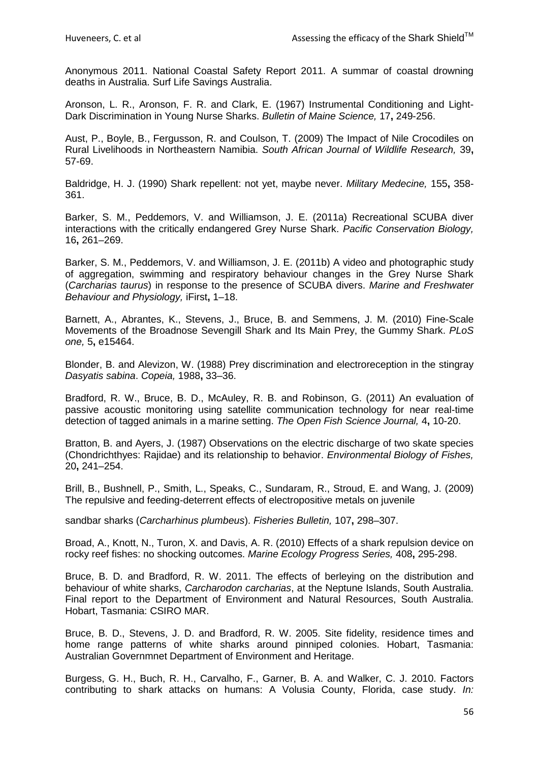<span id="page-55-2"></span>Anonymous 2011. National Coastal Safety Report 2011. A summar of coastal drowning deaths in Australia. Surf Life Savings Australia.

<span id="page-55-14"></span>Aronson, L. R., Aronson, F. R. and Clark, E. (1967) Instrumental Conditioning and Light-Dark Discrimination in Young Nurse Sharks. *Bulletin of Maine Science,* 17**,** 249-256.

<span id="page-55-0"></span>Aust, P., Boyle, B., Fergusson, R. and Coulson, T. (2009) The Impact of Nile Crocodiles on Rural Livelihoods in Northeastern Namibia. *South African Journal of Wildlife Research,* 39**,** 57-69.

<span id="page-55-3"></span>Baldridge, H. J. (1990) Shark repellent: not yet, maybe never. *Military Medecine,* 155**,** 358- 361.

<span id="page-55-13"></span>Barker, S. M., Peddemors, V. and Williamson, J. E. (2011a) Recreational SCUBA diver interactions with the critically endangered Grey Nurse Shark. *Pacific Conservation Biology,* 16**,** 261–269.

<span id="page-55-12"></span>Barker, S. M., Peddemors, V. and Williamson, J. E. (2011b) A video and photographic study of aggregation, swimming and respiratory behaviour changes in the Grey Nurse Shark (*Carcharias taurus*) in response to the presence of SCUBA divers. *Marine and Freshwater Behaviour and Physiology,* iFirst**,** 1–18.

<span id="page-55-9"></span>Barnett, A., Abrantes, K., Stevens, J., Bruce, B. and Semmens, J. M. (2010) Fine-Scale Movements of the Broadnose Sevengill Shark and Its Main Prey, the Gummy Shark. *PLoS one,* 5**,** e15464.

<span id="page-55-4"></span>Blonder, B. and Alevizon, W. (1988) Prey discrimination and electroreception in the stingray *Dasyatis sabina*. *Copeia,* 1988**,** 33–36.

<span id="page-55-10"></span>Bradford, R. W., Bruce, B. D., McAuley, R. B. and Robinson, G. (2011) An evaluation of passive acoustic monitoring using satellite communication technology for near real-time detection of tagged animals in a marine setting. *The Open Fish Science Journal,* 4**,** 10-20.

<span id="page-55-5"></span>Bratton, B. and Ayers, J. (1987) Observations on the electric discharge of two skate species (Chondrichthyes: Rajidae) and its relationship to behavior. *Environmental Biology of Fishes,* 20**,** 241–254.

<span id="page-55-6"></span>Brill, B., Bushnell, P., Smith, L., Speaks, C., Sundaram, R., Stroud, E. and Wang, J. (2009) The repulsive and feeding-deterrent effects of electropositive metals on juvenile

sandbar sharks (*Carcharhinus plumbeus*). *Fisheries Bulletin,* 107**,** 298–307.

<span id="page-55-7"></span>Broad, A., Knott, N., Turon, X. and Davis, A. R. (2010) Effects of a shark repulsion device on rocky reef fishes: no shocking outcomes. *Marine Ecology Progress Series,* 408**,** 295-298.

<span id="page-55-8"></span>Bruce, B. D. and Bradford, R. W. 2011. The effects of berleying on the distribution and behaviour of white sharks, *Carcharodon carcharias*, at the Neptune Islands, South Australia. Final report to the Department of Environment and Natural Resources, South Australia. Hobart, Tasmania: CSIRO MAR.

<span id="page-55-11"></span>Bruce, B. D., Stevens, J. D. and Bradford, R. W. 2005. Site fidelity, residence times and home range patterns of white sharks around pinniped colonies. Hobart, Tasmania: Australian Governmnet Department of Environment and Heritage.

<span id="page-55-1"></span>Burgess, G. H., Buch, R. H., Carvalho, F., Garner, B. A. and Walker, C. J. 2010. Factors contributing to shark attacks on humans: A Volusia County, Florida, case study. *In:*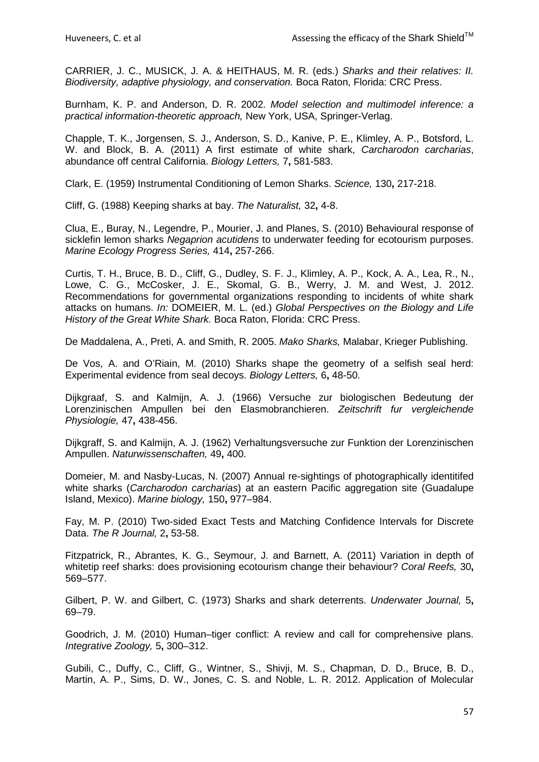CARRIER, J. C., MUSICK, J. A. & HEITHAUS, M. R. (eds.) *Sharks and their relatives: II. Biodiversity, adaptive physiology, and conservation.* Boca Raton, Florida: CRC Press.

<span id="page-56-9"></span>Burnham, K. P. and Anderson, D. R. 2002. *Model selection and multimodel inference: a practical information-theoretic approach,* New York, USA, Springer-Verlag.

<span id="page-56-7"></span>Chapple, T. K., Jorgensen, S. J., Anderson, S. D., Kanive, P. E., Klimley, A. P., Botsford, L. W. and Block, B. A. (2011) A first estimate of white shark, *Carcharodon carcharias*, abundance off central California. *Biology Letters,* 7**,** 581-583.

<span id="page-56-13"></span>Clark, E. (1959) Instrumental Conditioning of Lemon Sharks. *Science,* 130**,** 217-218.

<span id="page-56-5"></span>Cliff, G. (1988) Keeping sharks at bay. *The Naturalist,* 32**,** 4-8.

<span id="page-56-11"></span>Clua, E., Buray, N., Legendre, P., Mourier, J. and Planes, S. (2010) Behavioural response of sicklefin lemon sharks *Negaprion acutidens* to underwater feeding for ecotourism purposes. *Marine Ecology Progress Series,* 414**,** 257-266.

<span id="page-56-1"></span>Curtis, T. H., Bruce, B. D., Cliff, G., Dudley, S. F. J., Klimley, A. P., Kock, A. A., Lea, R., N., Lowe, C. G., McCosker, J. E., Skomal, G. B., Werry, J. M. and West, J. 2012. Recommendations for governmental organizations responding to incidents of white shark attacks on humans. *In:* DOMEIER, M. L. (ed.) *Global Perspectives on the Biology and Life History of the Great White Shark.* Boca Raton, Florida: CRC Press.

<span id="page-56-14"></span>De Maddalena, A., Preti, A. and Smith, R. 2005. *Mako Sharks,* Malabar, Krieger Publishing.

<span id="page-56-10"></span>De Vos, A. and O'Riain, M. (2010) Sharks shape the geometry of a selfish seal herd: Experimental evidence from seal decoys. *Biology Letters,* 6**,** 48-50.

<span id="page-56-3"></span>Dijkgraaf, S. and Kalmijn, A. J. (1966) Versuche zur biologischen Bedeutung der Lorenzinischen Ampullen bei den Elasmobranchieren. *Zeitschrift fur vergleichende Physiologie,* 47**,** 438-456.

<span id="page-56-2"></span>Dijkgraff, S. and Kalmijn, A. J. (1962) Verhaltungsversuche zur Funktion der Lorenzinischen Ampullen. *Naturwissenschaften,* 49**,** 400.

<span id="page-56-6"></span>Domeier, M. and Nasby-Lucas, N. (2007) Annual re-sightings of photographically identitifed white sharks (*Carcharodon carcharias*) at an eastern Pacific aggregation site (Guadalupe Island, Mexico). *Marine biology,* 150**,** 977–984.

<span id="page-56-8"></span>Fay, M. P. (2010) Two-sided Exact Tests and Matching Confidence Intervals for Discrete Data. *The R Journal,* 2**,** 53-58.

<span id="page-56-12"></span>Fitzpatrick, R., Abrantes, K. G., Seymour, J. and Barnett, A. (2011) Variation in depth of whitetip reef sharks: does provisioning ecotourism change their behaviour? *Coral Reefs,* 30**,** 569–577.

<span id="page-56-4"></span>Gilbert, P. W. and Gilbert, C. (1973) Sharks and shark deterrents. *Underwater Journal,* 5**,** 69–79.

<span id="page-56-0"></span>Goodrich, J. M. (2010) Human–tiger conflict: A review and call for comprehensive plans. *Integrative Zoology,* 5**,** 300–312.

<span id="page-56-15"></span>Gubili, C., Duffy, C., Cliff, G., Wintner, S., Shivji, M. S., Chapman, D. D., Bruce, B. D., Martin, A. P., Sims, D. W., Jones, C. S. and Noble, L. R. 2012. Application of Molecular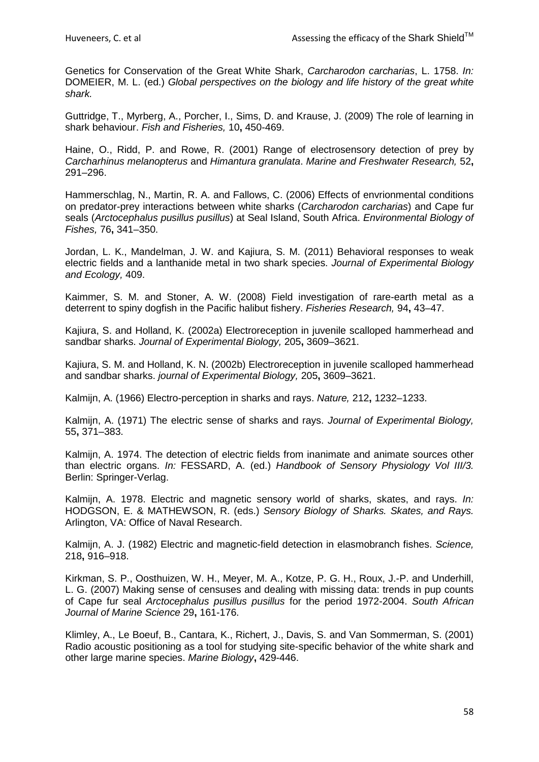Genetics for Conservation of the Great White Shark, *Carcharodon carcharias*, L. 1758. *In:* DOMEIER, M. L. (ed.) *Global perspectives on the biology and life history of the great white shark.*

<span id="page-57-13"></span>Guttridge, T., Myrberg, A., Porcher, I., Sims, D. and Krause, J. (2009) The role of learning in shark behaviour. *Fish and Fisheries,* 10**,** 450-469.

<span id="page-57-2"></span>Haine, O., Ridd, P. and Rowe, R. (2001) Range of electrosensory detection of prey by *Carcharhinus melanopterus* and *Himantura granulata*. *Marine and Freshwater Research,* 52**,** 291–296.

<span id="page-57-12"></span>Hammerschlag, N., Martin, R. A. and Fallows, C. (2006) Effects of envrionmental conditions on predator-prey interactions between white sharks (*Carcharodon carcharias*) and Cape fur seals (*Arctocephalus pusillus pusillus*) at Seal Island, South Africa. *Environmental Biology of Fishes,* 76**,** 341–350.

<span id="page-57-8"></span>Jordan, L. K., Mandelman, J. W. and Kajiura, S. M. (2011) Behavioral responses to weak electric fields and a lanthanide metal in two shark species. *Journal of Experimental Biology and Ecology,* 409.

<span id="page-57-9"></span>Kaimmer, S. M. and Stoner, A. W. (2008) Field investigation of rare-earth metal as a deterrent to spiny dogfish in the Pacific halibut fishery. *Fisheries Research,* 94**,** 43–47.

<span id="page-57-3"></span>Kajiura, S. and Holland, K. (2002a) Electroreception in juvenile scalloped hammerhead and sandbar sharks. *Journal of Experimental Biology,* 205**,** 3609–3621.

<span id="page-57-7"></span>Kajiura, S. M. and Holland, K. N. (2002b) Electroreception in juvenile scalloped hammerhead and sandbar sharks. *journal of Experimental Biology,* 205**,** 3609–3621.

<span id="page-57-0"></span>Kalmijn, A. (1966) Electro-perception in sharks and rays. *Nature,* 212**,** 1232–1233.

<span id="page-57-1"></span>Kalmijn, A. (1971) The electric sense of sharks and rays. *Journal of Experimental Biology,* 55**,** 371–383.

<span id="page-57-4"></span>Kalmijn, A. 1974. The detection of electric fields from inanimate and animate sources other than electric organs. *In:* FESSARD, A. (ed.) *Handbook of Sensory Physiology Vol III/3.* Berlin: Springer-Verlag.

<span id="page-57-5"></span>Kalmijn, A. 1978. Electric and magnetic sensory world of sharks, skates, and rays. *In:* HODGSON, E. & MATHEWSON, R. (eds.) *Sensory Biology of Sharks. Skates, and Rays.* Arlington, VA: Office of Naval Research.

<span id="page-57-6"></span>Kalmijn, A. J. (1982) Electric and magnetic-field detection in elasmobranch fishes. *Science,* 218**,** 916–918.

<span id="page-57-11"></span>Kirkman, S. P., Oosthuizen, W. H., Meyer, M. A., Kotze, P. G. H., Roux, J.-P. and Underhill, L. G. (2007) Making sense of censuses and dealing with missing data: trends in pup counts of Cape fur seal *Arctocephalus pusillus pusillus* for the period 1972-2004. *South African Journal of Marine Science* 29**,** 161-176.

<span id="page-57-10"></span>Klimley, A., Le Boeuf, B., Cantara, K., Richert, J., Davis, S. and Van Sommerman, S. (2001) Radio acoustic positioning as a tool for studying site-specific behavior of the white shark and other large marine species. *Marine Biology***,** 429-446.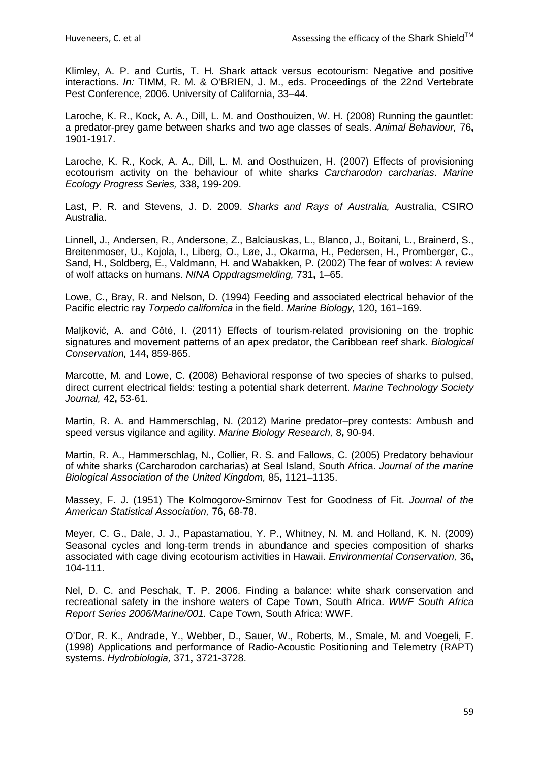<span id="page-58-1"></span>Klimley, A. P. and Curtis, T. H. Shark attack versus ecotourism: Negative and positive interactions. *In:* TIMM, R. M. & O'BRIEN, J. M., eds. Proceedings of the 22nd Vertebrate Pest Conference, 2006. University of California, 33–44.

<span id="page-58-7"></span>Laroche, K. R., Kock, A. A., Dill, L. M. and Oosthouizen, W. H. (2008) Running the gauntlet: a predator-prey game between sharks and two age classes of seals. *Animal Behaviour,* 76**,** 1901-1917.

<span id="page-58-9"></span>Laroche, K. R., Kock, A. A., Dill, L. M. and Oosthuizen, H. (2007) Effects of provisioning ecotourism activity on the behaviour of white sharks *Carcharodon carcharias*. *Marine Ecology Progress Series,* 338**,** 199-209.

<span id="page-58-2"></span>Last, P. R. and Stevens, J. D. 2009. *Sharks and Rays of Australia,* Australia, CSIRO Australia.

<span id="page-58-0"></span>Linnell, J., Andersen, R., Andersone, Z., Balciauskas, L., Blanco, J., Boitani, L., Brainerd, S., Breitenmoser, U., Kojola, I., Liberg, O., Løe, J., Okarma, H., Pedersen, H., Promberger, C., Sand, H., Soldberg, E., Valdmann, H. and Wabakken, P. (2002) The fear of wolves: A review of wolf attacks on humans. *NINA Oppdragsmelding,* 731**,** 1–65.

<span id="page-58-4"></span>Lowe, C., Bray, R. and Nelson, D. (1994) Feeding and associated electrical behavior of the Pacific electric ray *Torpedo californica* in the field. *Marine Biology,* 120**,** 161–169.

<span id="page-58-11"></span>Maljković, A. and Côté, I. (2011) Effects of tourism-related provisioning on the trophic signatures and movement patterns of an apex predator, the Caribbean reef shark. *Biological Conservation,* 144**,** 859-865.

<span id="page-58-12"></span>Marcotte, M. and Lowe, C. (2008) Behavioral response of two species of sharks to pulsed, direct current electrical fields: testing a potential shark deterrent. *Marine Technology Society Journal,* 42**,** 53-61.

<span id="page-58-13"></span>Martin, R. A. and Hammerschlag, N. (2012) Marine predator–prey contests: Ambush and speed versus vigilance and agility. *Marine Biology Research,* 8**,** 90-94.

<span id="page-58-8"></span>Martin, R. A., Hammerschlag, N., Collier, R. S. and Fallows, C. (2005) Predatory behaviour of white sharks (Carcharodon carcharias) at Seal Island, South Africa. *Journal of the marine Biological Association of the United Kingdom,* 85**,** 1121–1135.

<span id="page-58-5"></span>Massey, F. J. (1951) The Kolmogorov-Smirnov Test for Goodness of Fit. *Journal of the American Statistical Association,* 76**,** 68-78.

<span id="page-58-10"></span>Meyer, C. G., Dale, J. J., Papastamatiou, Y. P., Whitney, N. M. and Holland, K. N. (2009) Seasonal cycles and long-term trends in abundance and species composition of sharks associated with cage diving ecotourism activities in Hawaii. *Environmental Conservation,* 36**,** 104-111.

<span id="page-58-3"></span>Nel, D. C. and Peschak, T. P. 2006. Finding a balance: white shark conservation and recreational safety in the inshore waters of Cape Town, South Africa. *WWF South Africa Report Series 2006/Marine/001.* Cape Town, South Africa: WWF.

<span id="page-58-6"></span>O'Dor, R. K., Andrade, Y., Webber, D., Sauer, W., Roberts, M., Smale, M. and Voegeli, F. (1998) Applications and performance of Radio-Acoustic Positioning and Telemetry (RAPT) systems. *Hydrobiologia,* 371**,** 3721-3728.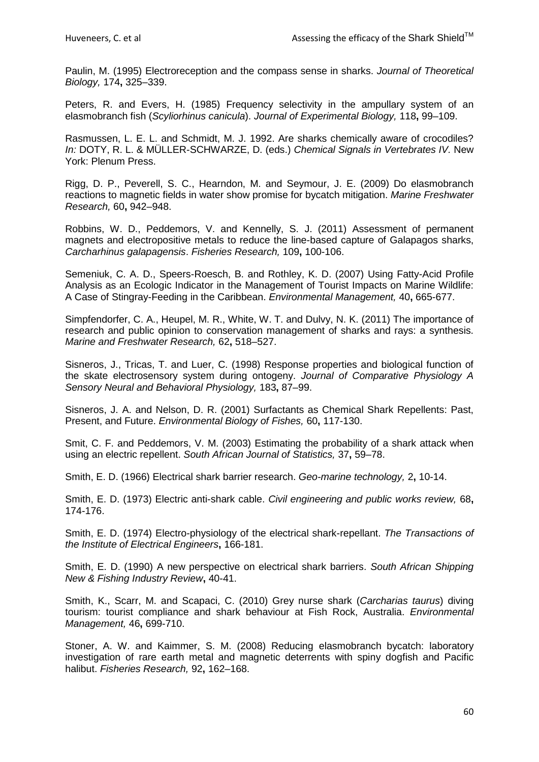<span id="page-59-5"></span>Paulin, M. (1995) Electroreception and the compass sense in sharks. *Journal of Theoretical Biology,* 174**,** 325–339.

<span id="page-59-3"></span>Peters, R. and Evers, H. (1985) Frequency selectivity in the ampullary system of an elasmobranch fish (*Scyliorhinus canicula*). *Journal of Experimental Biology,* 118**,** 99–109.

<span id="page-59-1"></span>Rasmussen, L. E. L. and Schmidt, M. J. 1992. Are sharks chemically aware of crocodiles? *In:* DOTY, R. L. & MÜLLER-SCHWARZE, D. (eds.) *Chemical Signals in Vertebrates IV.* New York: Plenum Press.

<span id="page-59-12"></span>Rigg, D. P., Peverell, S. C., Hearndon, M. and Seymour, J. E. (2009) Do elasmobranch reactions to magnetic fields in water show promise for bycatch mitigation. *Marine Freshwater Research,* 60**,** 942–948.

<span id="page-59-11"></span>Robbins, W. D., Peddemors, V. and Kennelly, S. J. (2011) Assessment of permanent magnets and electropositive metals to reduce the line-based capture of Galapagos sharks, *Carcharhinus galapagensis*. *Fisheries Research,* 109**,** 100-106.

<span id="page-59-14"></span>Semeniuk, C. A. D., Speers-Roesch, B. and Rothley, K. D. (2007) Using Fatty-Acid Profile Analysis as an Ecologic Indicator in the Management of Tourist Impacts on Marine Wildlife: A Case of Stingray-Feeding in the Caribbean. *Environmental Management,* 40**,** 665-677.

<span id="page-59-0"></span>Simpfendorfer, C. A., Heupel, M. R., White, W. T. and Dulvy, N. K. (2011) The importance of research and public opinion to conservation management of sharks and rays: a synthesis. *Marine and Freshwater Research,* 62**,** 518–527.

<span id="page-59-4"></span>Sisneros, J., Tricas, T. and Luer, C. (1998) Response properties and biological function of the skate electrosensory system during ontogeny. *Journal of Comparative Physiology A Sensory Neural and Behavioral Physiology,* 183**,** 87–99.

<span id="page-59-2"></span>Sisneros, J. A. and Nelson, D. R. (2001) Surfactants as Chemical Shark Repellents: Past, Present, and Future. *Environmental Biology of Fishes,* 60**,** 117-130.

<span id="page-59-13"></span>Smit, C. F. and Peddemors, V. M. (2003) Estimating the probability of a shark attack when using an electric repellent. *South African Journal of Statistics,* 37**,** 59–78.

<span id="page-59-6"></span>Smith, E. D. (1966) Electrical shark barrier research. *Geo-marine technology,* 2**,** 10-14.

<span id="page-59-7"></span>Smith, E. D. (1973) Electric anti-shark cable. *Civil engineering and public works review,* 68**,** 174-176.

<span id="page-59-8"></span>Smith, E. D. (1974) Electro-physiology of the electrical shark-repellant. *The Transactions of the Institute of Electrical Engineers***,** 166-181.

<span id="page-59-9"></span>Smith, E. D. (1990) A new perspective on electrical shark barriers. *South African Shipping New & Fishing Industry Review***,** 40-41.

<span id="page-59-15"></span>Smith, K., Scarr, M. and Scapaci, C. (2010) Grey nurse shark (*Carcharias taurus*) diving tourism: tourist compliance and shark behaviour at Fish Rock, Australia. *Environmental Management,* 46**,** 699-710.

<span id="page-59-10"></span>Stoner, A. W. and Kaimmer, S. M. (2008) Reducing elasmobranch bycatch: laboratory investigation of rare earth metal and magnetic deterrents with spiny dogfish and Pacific halibut. *Fisheries Research,* 92**,** 162–168.